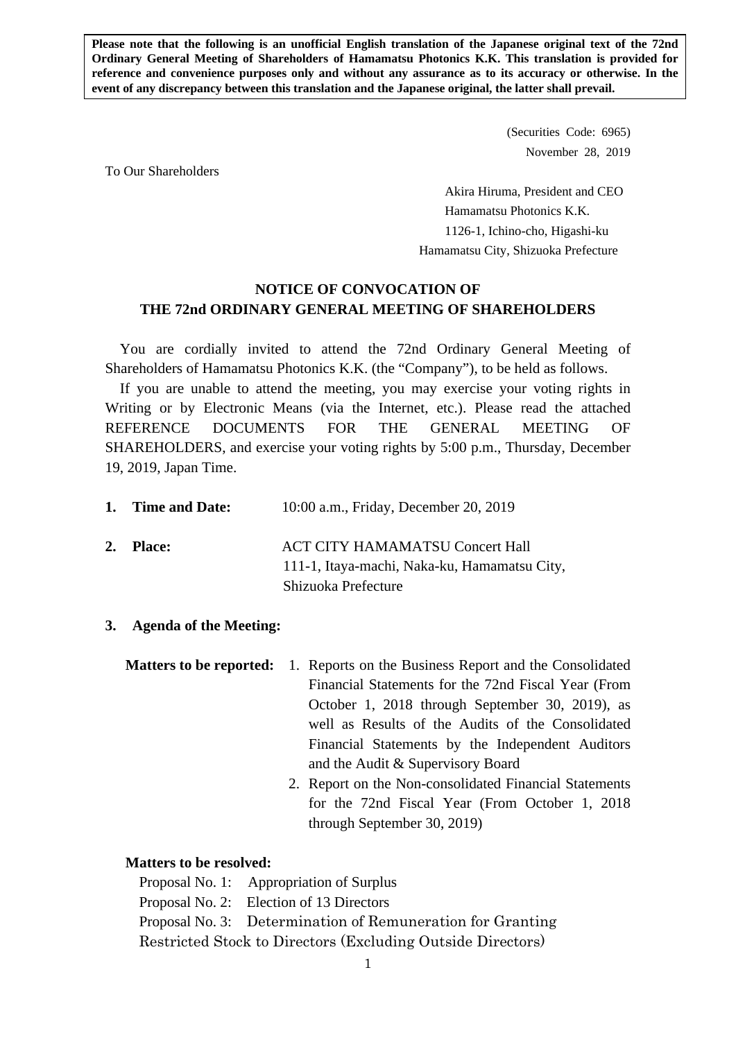**Please note that the following is an unofficial English translation of the Japanese original text of the 72nd Ordinary General Meeting of Shareholders of Hamamatsu Photonics K.K. This translation is provided for reference and convenience purposes only and without any assurance as to its accuracy or otherwise. In the event of any discrepancy between this translation and the Japanese original, the latter shall prevail.** 

> (Securities Code: 6965) November 28, 2019

To Our Shareholders

 Akira Hiruma, President and CEO Hamamatsu Photonics K.K. 1126-1, Ichino-cho, Higashi-ku Hamamatsu City, Shizuoka Prefecture

## **NOTICE OF CONVOCATION OF THE 72nd ORDINARY GENERAL MEETING OF SHAREHOLDERS**

You are cordially invited to attend the 72nd Ordinary General Meeting of Shareholders of Hamamatsu Photonics K.K. (the "Company"), to be held as follows.

If you are unable to attend the meeting, you may exercise your voting rights in Writing or by Electronic Means (via the Internet, etc.). Please read the attached REFERENCE DOCUMENTS FOR THE GENERAL MEETING OF SHAREHOLDERS, and exercise your voting rights by 5:00 p.m., Thursday, December 19, 2019, Japan Time.

| 1. Time and Date: | 10:00 a.m., Friday, December 20, 2019                                                  |
|-------------------|----------------------------------------------------------------------------------------|
| 2. Place:         | <b>ACT CITY HAMAMATSU Concert Hall</b><br>111-1, Itaya-machi, Naka-ku, Hamamatsu City, |
|                   | Shizuoka Prefecture                                                                    |

**3. Agenda of the Meeting:** 

|  | <b>Matters to be reported:</b> 1. Reports on the Business Report and the Consolidated |
|--|---------------------------------------------------------------------------------------|
|  | Financial Statements for the 72nd Fiscal Year (From                                   |
|  | October 1, 2018 through September 30, 2019), as                                       |
|  | well as Results of the Audits of the Consolidated                                     |
|  | Financial Statements by the Independent Auditors                                      |
|  | and the Audit & Supervisory Board                                                     |
|  |                                                                                       |

2. Report on the Non-consolidated Financial Statements for the 72nd Fiscal Year (From October 1, 2018 through September 30, 2019)

### **Matters to be resolved:**

Proposal No. 1: Appropriation of Surplus Proposal No. 2: Election of 13 Directors Proposal No. 3: Determination of Remuneration for Granting Restricted Stock to Directors (Excluding Outside Directors)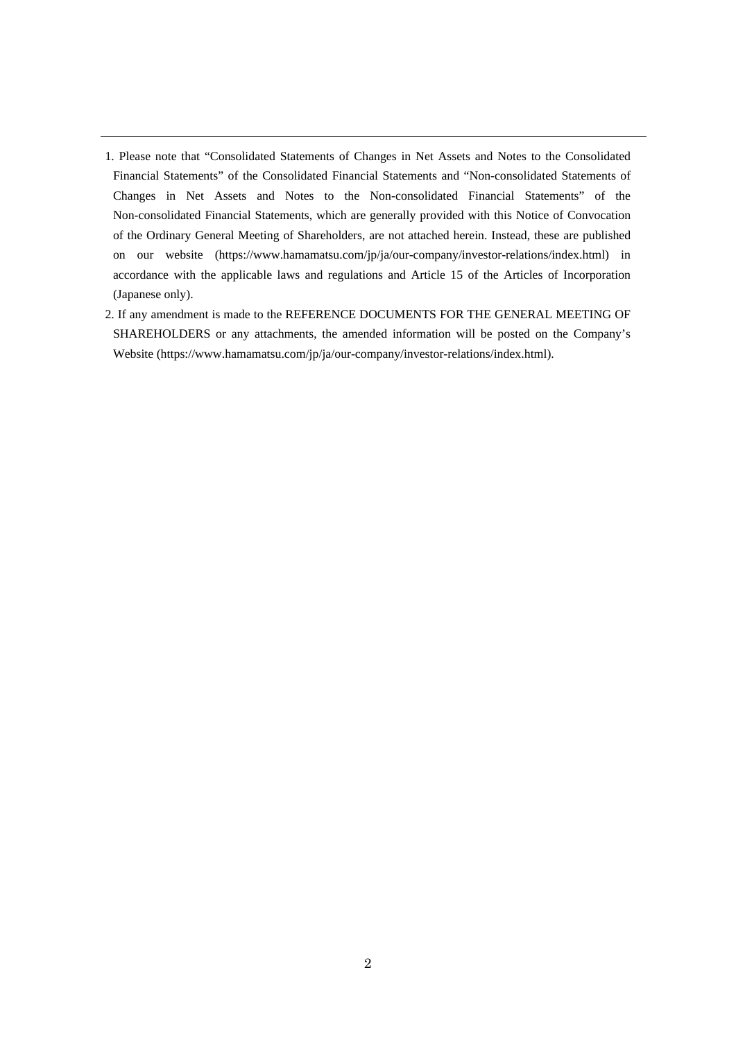- 1. Please note that "Consolidated Statements of Changes in Net Assets and Notes to the Consolidated Financial Statements" of the Consolidated Financial Statements and "Non-consolidated Statements of Changes in Net Assets and Notes to the Non-consolidated Financial Statements" of the Non-consolidated Financial Statements, which are generally provided with this Notice of Convocation of the Ordinary General Meeting of Shareholders, are not attached herein. Instead, these are published on our website (https://www.hamamatsu.com/jp/ja/our-company/investor-relations/index.html) in accordance with the applicable laws and regulations and Article 15 of the Articles of Incorporation (Japanese only).
- 2. If any amendment is made to the REFERENCE DOCUMENTS FOR THE GENERAL MEETING OF SHAREHOLDERS or any attachments, the amended information will be posted on the Company's Website (https://www.hamamatsu.com/jp/ja/our-company/investor-relations/index.html).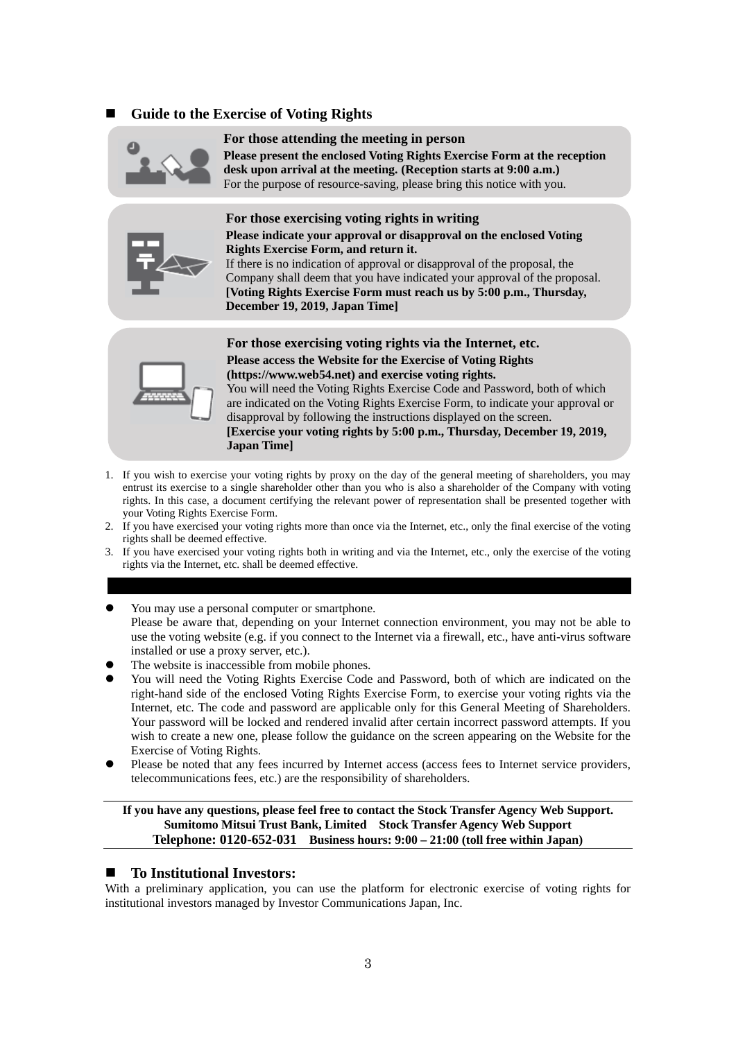### **Guide to the Exercise of Voting Rights**



#### **For those attending the meeting in person**

**Please present the enclosed Voting Rights Exercise Form at the reception desk upon arrival at the meeting. (Reception starts at 9:00 a.m.)**  For the purpose of resource-saving, please bring this notice with you.



#### **Please indicate your approval or disapproval on the enclosed Voting Rights Exercise Form, and return it.**



If there is no indication of approval or disapproval of the proposal, the Company shall deem that you have indicated your approval of the proposal. **[Voting Rights Exercise Form must reach us by 5:00 p.m., Thursday, December 19, 2019, Japan Time]** 



**For those exercising voting rights via the Internet, etc. Please access the Website for the Exercise of Voting Rights** 

**(https://www.web54.net) and exercise voting rights.** 

You will need the Voting Rights Exercise Code and Password, both of which are indicated on the Voting Rights Exercise Form, to indicate your approval or disapproval by following the instructions displayed on the screen. **[Exercise your voting rights by 5:00 p.m., Thursday, December 19, 2019, Japan Time]** 

- 1. If you wish to exercise your voting rights by proxy on the day of the general meeting of shareholders, you may entrust its exercise to a single shareholder other than you who is also a shareholder of the Company with voting rights. In this case, a document certifying the relevant power of representation shall be presented together with your Voting Rights Exercise Form.
- 2. If you have exercised your voting rights more than once via the Internet, etc., only the final exercise of the voting rights shall be deemed effective.
- 3. If you have exercised your voting rights both in writing and via the Internet, etc., only the exercise of the voting rights via the Internet, etc. shall be deemed effective.

#### You may use a personal computer or smartphone. Please be aware that, depending on your Internet connection environment, you may not be able to use the voting website (e.g. if you connect to the Internet via a firewall, etc., have anti-virus software installed or use a proxy server, etc.).

- The website is inaccessible from mobile phones.
- You will need the Voting Rights Exercise Code and Password, both of which are indicated on the right-hand side of the enclosed Voting Rights Exercise Form, to exercise your voting rights via the Internet, etc. The code and password are applicable only for this General Meeting of Shareholders. Your password will be locked and rendered invalid after certain incorrect password attempts. If you wish to create a new one, please follow the guidance on the screen appearing on the Website for the Exercise of Voting Rights.
- Please be noted that any fees incurred by Internet access (access fees to Internet service providers, telecommunications fees, etc.) are the responsibility of shareholders.

**If you have any questions, please feel free to contact the Stock Transfer Agency Web Support. Sumitomo Mitsui Trust Bank, Limited Stock Transfer Agency Web Support Telephone: 0120-652-031 Business hours: 9:00 – 21:00 (toll free within Japan)** 

#### **To Institutional Investors:**

With a preliminary application, you can use the platform for electronic exercise of voting rights for institutional investors managed by Investor Communications Japan, Inc.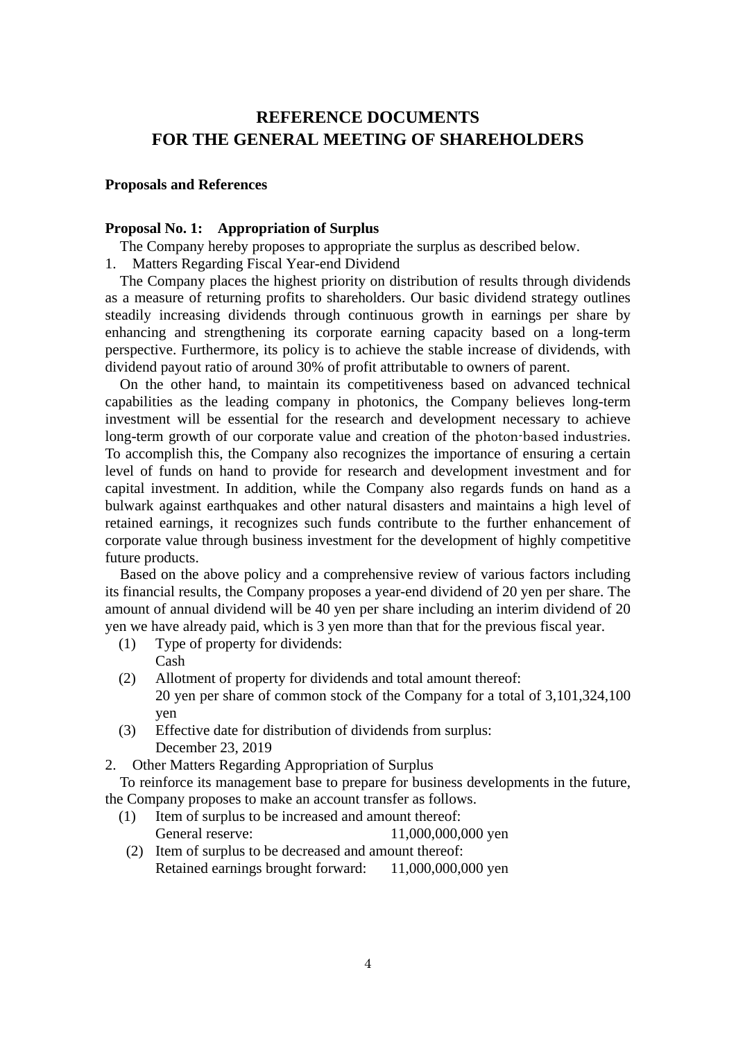# **REFERENCE DOCUMENTS FOR THE GENERAL MEETING OF SHAREHOLDERS**

### **Proposals and References**

### **Proposal No. 1: Appropriation of Surplus**

The Company hereby proposes to appropriate the surplus as described below.

1. Matters Regarding Fiscal Year-end Dividend

The Company places the highest priority on distribution of results through dividends as a measure of returning profits to shareholders. Our basic dividend strategy outlines steadily increasing dividends through continuous growth in earnings per share by enhancing and strengthening its corporate earning capacity based on a long-term perspective. Furthermore, its policy is to achieve the stable increase of dividends, with dividend payout ratio of around 30% of profit attributable to owners of parent.

On the other hand, to maintain its competitiveness based on advanced technical capabilities as the leading company in photonics, the Company believes long-term investment will be essential for the research and development necessary to achieve long-term growth of our corporate value and creation of the photon-based industries. To accomplish this, the Company also recognizes the importance of ensuring a certain level of funds on hand to provide for research and development investment and for capital investment. In addition, while the Company also regards funds on hand as a bulwark against earthquakes and other natural disasters and maintains a high level of retained earnings, it recognizes such funds contribute to the further enhancement of corporate value through business investment for the development of highly competitive future products.

Based on the above policy and a comprehensive review of various factors including its financial results, the Company proposes a year-end dividend of 20 yen per share. The amount of annual dividend will be 40 yen per share including an interim dividend of 20 yen we have already paid, which is 3 yen more than that for the previous fiscal year.

- (1) Type of property for dividends: Cash
- (2) Allotment of property for dividends and total amount thereof: 20 yen per share of common stock of the Company for a total of 3,101,324,100 yen
- (3) Effective date for distribution of dividends from surplus: December 23, 2019
- 2. Other Matters Regarding Appropriation of Surplus

To reinforce its management base to prepare for business developments in the future, the Company proposes to make an account transfer as follows.

- (1) Item of surplus to be increased and amount thereof: General reserve: 11,000,000,000 yen
- (2) Item of surplus to be decreased and amount thereof: Retained earnings brought forward: 11,000,000,000 yen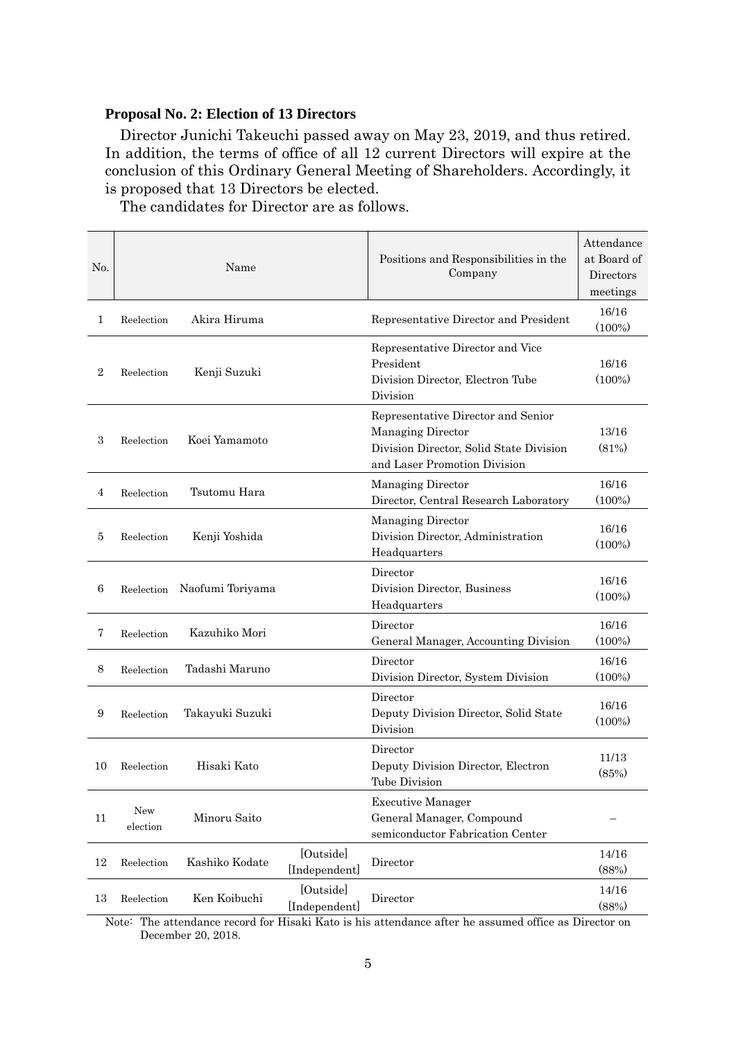### **Proposal No. 2: Election of 13 Directors**

Director Junichi Takeuchi passed away on May 23, 2019, and thus retired. In addition, the terms of office of all 12 current Directors will expire at the conclusion of this Ordinary General Meeting of Shareholders. Accordingly, it is proposed that 13 Directors be elected.

| N <sub>0</sub> | Name            |                  |                            | Positions and Responsibilities in the<br>Company                                                                                          | Attendance<br>at Board of<br>Directors<br>meetings |
|----------------|-----------------|------------------|----------------------------|-------------------------------------------------------------------------------------------------------------------------------------------|----------------------------------------------------|
| 1              | Reelection      | Akira Hiruma     |                            | Representative Director and President                                                                                                     | 16/16<br>$(100\%)$                                 |
| $\overline{2}$ | Reelection      | Kenji Suzuki     |                            | Representative Director and Vice<br>President<br>Division Director, Electron Tube<br>Division                                             | 16/16<br>$(100\%)$                                 |
| 3              | Reelection      | Koei Yamamoto    |                            | Representative Director and Senior<br><b>Managing Director</b><br>Division Director, Solid State Division<br>and Laser Promotion Division | 13/16<br>(81%)                                     |
| $\overline{4}$ | Reelection      | Tsutomu Hara     |                            | Managing Director<br>Director, Central Research Laboratory                                                                                | 16/16<br>$(100\%)$                                 |
| 5              | Reelection      | Kenji Yoshida    |                            | <b>Managing Director</b><br>Division Director, Administration<br>Headquarters                                                             | 16/16<br>$(100\%)$                                 |
| 6              | Reelection      | Naofumi Toriyama |                            | Director<br>Division Director, Business<br>Headquarters                                                                                   | 16/16<br>$(100\%)$                                 |
| $\overline{7}$ | Reelection      | Kazuhiko Mori    |                            | Director<br>General Manager, Accounting Division                                                                                          | 16/16<br>$(100\%)$                                 |
| 8              | Reelection      | Tadashi Maruno   |                            | Director<br>Division Director, System Division                                                                                            | 16/16<br>$(100\%)$                                 |
| 9              | Reelection      | Takayuki Suzuki  |                            | Director<br>Deputy Division Director, Solid State<br>Division                                                                             | 16/16<br>$(100\%)$                                 |
| 10             | Reelection      | Hisaki Kato      |                            | Director<br>Deputy Division Director, Electron<br><b>Tube Division</b>                                                                    | 11/13<br>(85%)                                     |
| 11             | New<br>election | Minoru Saito     |                            | <b>Executive Manager</b><br>General Manager, Compound<br>semiconductor Fabrication Center                                                 |                                                    |
| 12             | Reelection      | Kashiko Kodate   | [Outside]<br>[Independent] | Director                                                                                                                                  | 14/16<br>(88%)                                     |
| 13             | Reelection      | Ken Koibuchi     | [Outside]<br>[Independent] | Director                                                                                                                                  | 14/16<br>(88%)                                     |

The candidates for Director are as follows.

Note: The attendance record for Hisaki Kato is his attendance after he assumed office as Director on December 20, 2018.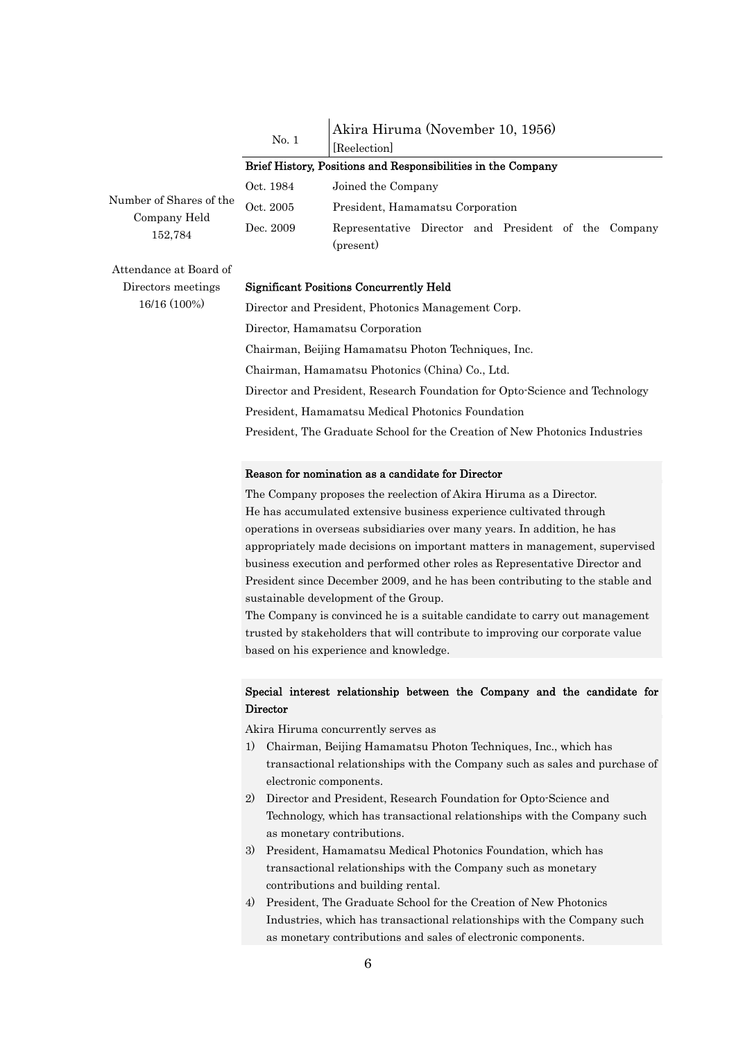No. 1 Akira Hiruma (November 10, 1956)

[Reelection]

#### Brief History, Positions and Responsibilities in the Company

Number of Shares of the Company Held 152,784

Oct. 1984 Joined the Company Oct. 2005 President, Hamamatsu Corporation Dec. 2009 Representative Director and President of the Company (present)

Attendance at Board of Directors meetings 16/16 (100%)

#### Significant Positions Concurrently Held

Director and President, Photonics Management Corp. Director, Hamamatsu Corporation Chairman, Beijing Hamamatsu Photon Techniques, Inc. Chairman, Hamamatsu Photonics (China) Co., Ltd. Director and President, Research Foundation for Opto-Science and Technology President, Hamamatsu Medical Photonics Foundation President, The Graduate School for the Creation of New Photonics Industries

#### Reason for nomination as a candidate for Director

The Company proposes the reelection of Akira Hiruma as a Director. He has accumulated extensive business experience cultivated through operations in overseas subsidiaries over many years. In addition, he has appropriately made decisions on important matters in management, supervised business execution and performed other roles as Representative Director and President since December 2009, and he has been contributing to the stable and sustainable development of the Group.

The Company is convinced he is a suitable candidate to carry out management trusted by stakeholders that will contribute to improving our corporate value based on his experience and knowledge.

#### Special interest relationship between the Company and the candidate for **Director**

Akira Hiruma concurrently serves as

- 1) Chairman, Beijing Hamamatsu Photon Techniques, Inc., which has transactional relationships with the Company such as sales and purchase of electronic components.
- 2) Director and President, Research Foundation for Opto-Science and Technology, which has transactional relationships with the Company such as monetary contributions.
- 3) President, Hamamatsu Medical Photonics Foundation, which has transactional relationships with the Company such as monetary contributions and building rental.
- 4) President, The Graduate School for the Creation of New Photonics Industries, which has transactional relationships with the Company such as monetary contributions and sales of electronic components.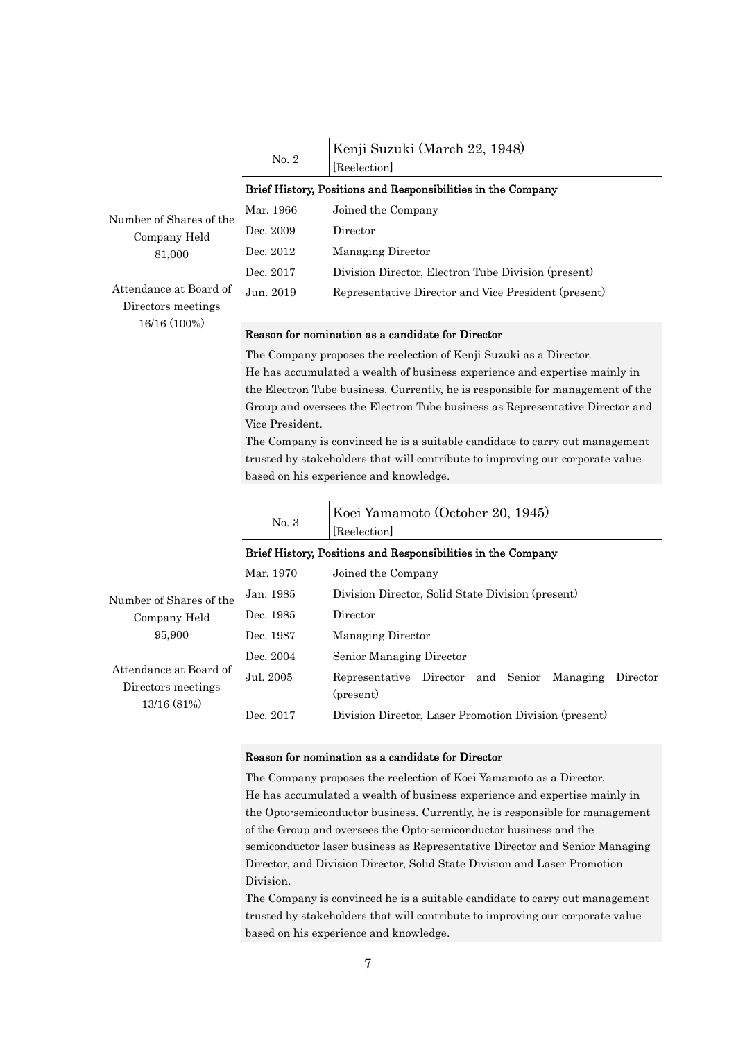No. 2 Kenji Suzuki (March 22, 1948)

Dec. 2017 Division Director, Electron Tube Division (present) Jun. 2019 Representative Director and Vice President (present)

|                         |           | Brief History, Positions and Responsibilities in the Company |
|-------------------------|-----------|--------------------------------------------------------------|
| Number of Shares of the | Mar. 1966 | Joined the Company                                           |
| Company Held            | Dec. 2009 | Director                                                     |
| 81,000                  | Dec. 2012 | Managing Director                                            |

[Reelection]

Attendance at Board of Directors meetings 16/16 (100%)

#### Reason for nomination as a candidate for Director

The Company proposes the reelection of Kenji Suzuki as a Director. He has accumulated a wealth of business experience and expertise mainly in the Electron Tube business. Currently, he is responsible for management of the Group and oversees the Electron Tube business as Representative Director and Vice President.

The Company is convinced he is a suitable candidate to carry out management trusted by stakeholders that will contribute to improving our corporate value based on his experience and knowledge.

|                                                             | No. 3     | Koei Yamamoto (October 20, 1945)<br>Reelection                          |
|-------------------------------------------------------------|-----------|-------------------------------------------------------------------------|
|                                                             |           | Brief History, Positions and Responsibilities in the Company            |
|                                                             | Mar. 1970 | Joined the Company                                                      |
| Number of Shares of the                                     | Jan. 1985 | Division Director, Solid State Division (present)                       |
| Company Held                                                | Dec. 1985 | Director                                                                |
| 95,900                                                      | Dec. 1987 | Managing Director                                                       |
|                                                             | Dec. 2004 | Senior Managing Director                                                |
| Attendance at Board of<br>Directors meetings<br>13/16 (81%) | Jul. 2005 | Representative Director and Senior<br>Managing<br>Director<br>(present) |
|                                                             | Dec. 2017 | Division Director, Laser Promotion Division (present)                   |
|                                                             |           |                                                                         |

#### Reason for nomination as a candidate for Director

The Company proposes the reelection of Koei Yamamoto as a Director. He has accumulated a wealth of business experience and expertise mainly in the Opto-semiconductor business. Currently, he is responsible for management of the Group and oversees the Opto-semiconductor business and the semiconductor laser business as Representative Director and Senior Managing Director, and Division Director, Solid State Division and Laser Promotion Division.

The Company is convinced he is a suitable candidate to carry out management trusted by stakeholders that will contribute to improving our corporate value based on his experience and knowledge.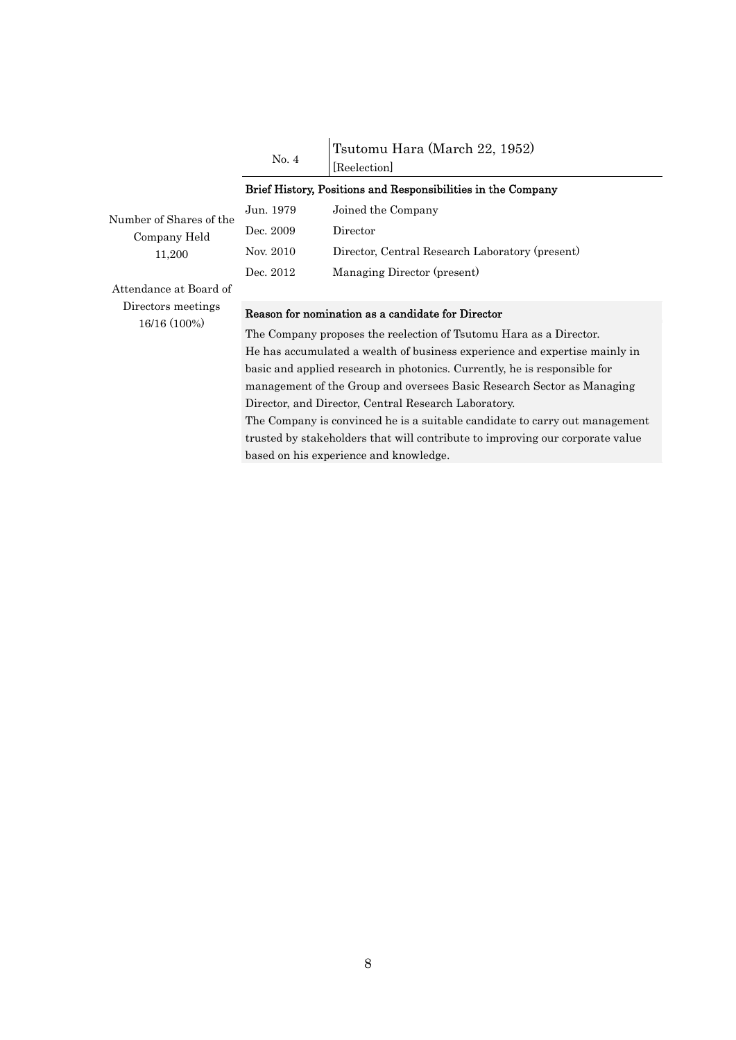No. 4 Tsutomu Hara (March 22, 1952) [Reelection]

|                                                                         |                                                                    | Reelection                                                                |  |
|-------------------------------------------------------------------------|--------------------------------------------------------------------|---------------------------------------------------------------------------|--|
|                                                                         |                                                                    | Brief History, Positions and Responsibilities in the Company              |  |
| Number of Shares of the                                                 | Jun. 1979                                                          | Joined the Company                                                        |  |
| Company Held                                                            | Dec. 2009                                                          | Director                                                                  |  |
| 11,200                                                                  | Nov. 2010                                                          | Director, Central Research Laboratory (present)                           |  |
|                                                                         | Dec. 2012                                                          | Managing Director (present)                                               |  |
| Attendance at Board of                                                  |                                                                    |                                                                           |  |
| Directors meetings<br>16/16 (100%)                                      |                                                                    | Reason for nomination as a candidate for Director                         |  |
|                                                                         | The Company proposes the reelection of Tsutomu Hara as a Director. |                                                                           |  |
| He has accumulated a wealth of business experience and expertise mainly |                                                                    |                                                                           |  |
|                                                                         |                                                                    | basic and applied research in photonics. Currently, he is responsible for |  |

He has accumulated a wealth of business experience and expertise mainly in management of the Group and oversees Basic Research Sector as Managing Director, and Director, Central Research Laboratory. The Company is convinced he is a suitable candidate to carry out management

trusted by stakeholders that will contribute to improving our corporate value based on his experience and knowledge.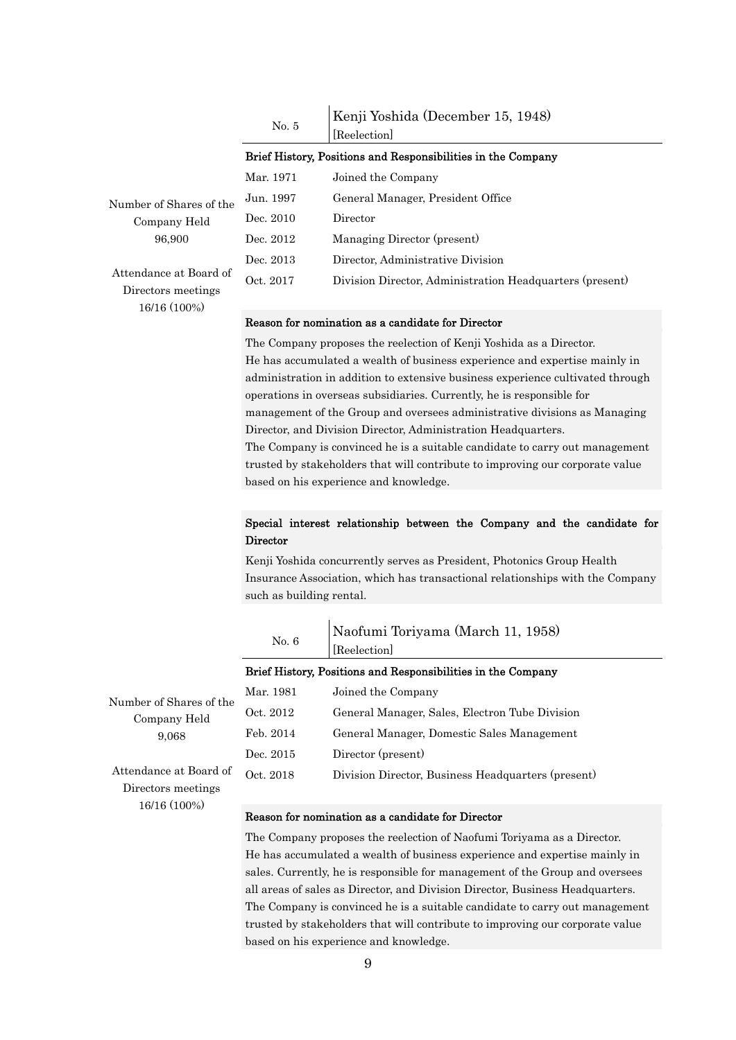| No. 5 | Kenji Yoshida (December 15, 1948) |
|-------|-----------------------------------|
|       | [Reelection]                      |

#### Brief History, Positions and Responsibilities in the Company

|                                              | Mar. 1971 | Joined the Company                                       |
|----------------------------------------------|-----------|----------------------------------------------------------|
| Number of Shares of the                      | Jun. 1997 | General Manager, President Office                        |
| Company Held                                 | Dec. 2010 | Director                                                 |
| 96,900                                       | Dec. 2012 | Managing Director (present)                              |
|                                              | Dec. 2013 | Director, Administrative Division                        |
| Attendance at Board of<br>Directors meetings | Oct. 2017 | Division Director, Administration Headquarters (present) |
| 16/16 (100%)                                 |           |                                                          |

#### Reason for nomination as a candidate for Director

The Company proposes the reelection of Kenji Yoshida as a Director. He has accumulated a wealth of business experience and expertise mainly in administration in addition to extensive business experience cultivated through operations in overseas subsidiaries. Currently, he is responsible for management of the Group and oversees administrative divisions as Managing Director, and Division Director, Administration Headquarters. The Company is convinced he is a suitable candidate to carry out management trusted by stakeholders that will contribute to improving our corporate value based on his experience and knowledge.

### Special interest relationship between the Company and the candidate for **Director**

Kenji Yoshida concurrently serves as President, Photonics Group Health Insurance Association, which has transactional relationships with the Company such as building rental.

|                                              | No. 6     | Naofumi Toriyama (March 11, 1958)<br>Reelection              |
|----------------------------------------------|-----------|--------------------------------------------------------------|
|                                              |           | Brief History, Positions and Responsibilities in the Company |
| Number of Shares of the                      | Mar. 1981 | Joined the Company                                           |
| Company Held                                 | Oct. 2012 | General Manager, Sales, Electron Tube Division               |
| 9.068                                        | Feb. 2014 | General Manager, Domestic Sales Management                   |
|                                              | Dec. 2015 | Director (present)                                           |
| Attendance at Board of<br>Directors meetings | Oct. 2018 | Division Director, Business Headquarters (present)           |
| 16/16 (100%)                                 |           | Reason for nomination as a candidate for Director            |

The Company proposes the reelection of Naofumi Toriyama as a Director. He has accumulated a wealth of business experience and expertise mainly in sales. Currently, he is responsible for management of the Group and oversees all areas of sales as Director, and Division Director, Business Headquarters. The Company is convinced he is a suitable candidate to carry out management trusted by stakeholders that will contribute to improving our corporate value based on his experience and knowledge.

#### 9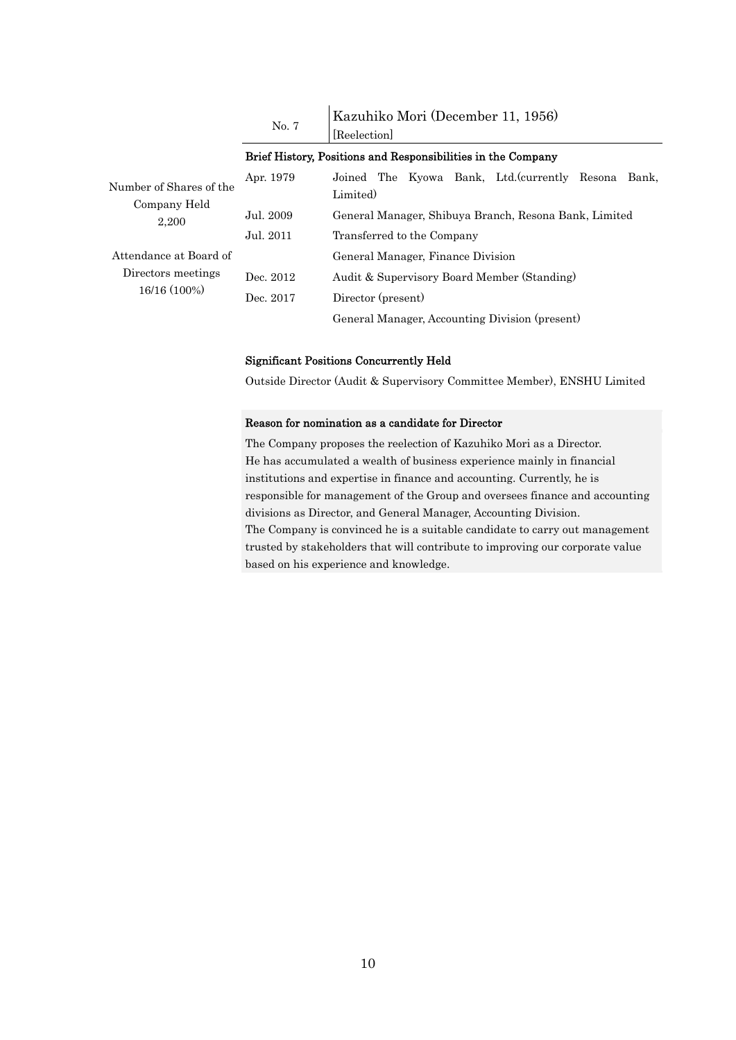|                                         | No. 7     | Kazuhiko Mori (December 11, 1956)<br>Reelection                    |
|-----------------------------------------|-----------|--------------------------------------------------------------------|
|                                         |           | Brief History, Positions and Responsibilities in the Company       |
| Number of Shares of the<br>Company Held | Apr. 1979 | Joined The Kyowa Bank, Ltd. (currently Resona<br>Bank.<br>Limited) |
| 2,200                                   | Jul. 2009 | General Manager, Shibuya Branch, Resona Bank, Limited              |
|                                         | Jul. 2011 | Transferred to the Company                                         |
| Attendance at Board of                  |           | General Manager, Finance Division                                  |
| Directors meetings                      | Dec. 2012 | Audit & Supervisory Board Member (Standing)                        |
| 16/16 (100%)                            | Dec. 2017 | Director (present)                                                 |
|                                         |           | General Manager, Accounting Division (present)                     |

#### Significant Positions Concurrently Held

Outside Director (Audit & Supervisory Committee Member), ENSHU Limited

#### Reason for nomination as a candidate for Director

The Company proposes the reelection of Kazuhiko Mori as a Director. He has accumulated a wealth of business experience mainly in financial institutions and expertise in finance and accounting. Currently, he is responsible for management of the Group and oversees finance and accounting divisions as Director, and General Manager, Accounting Division. The Company is convinced he is a suitable candidate to carry out management trusted by stakeholders that will contribute to improving our corporate value based on his experience and knowledge.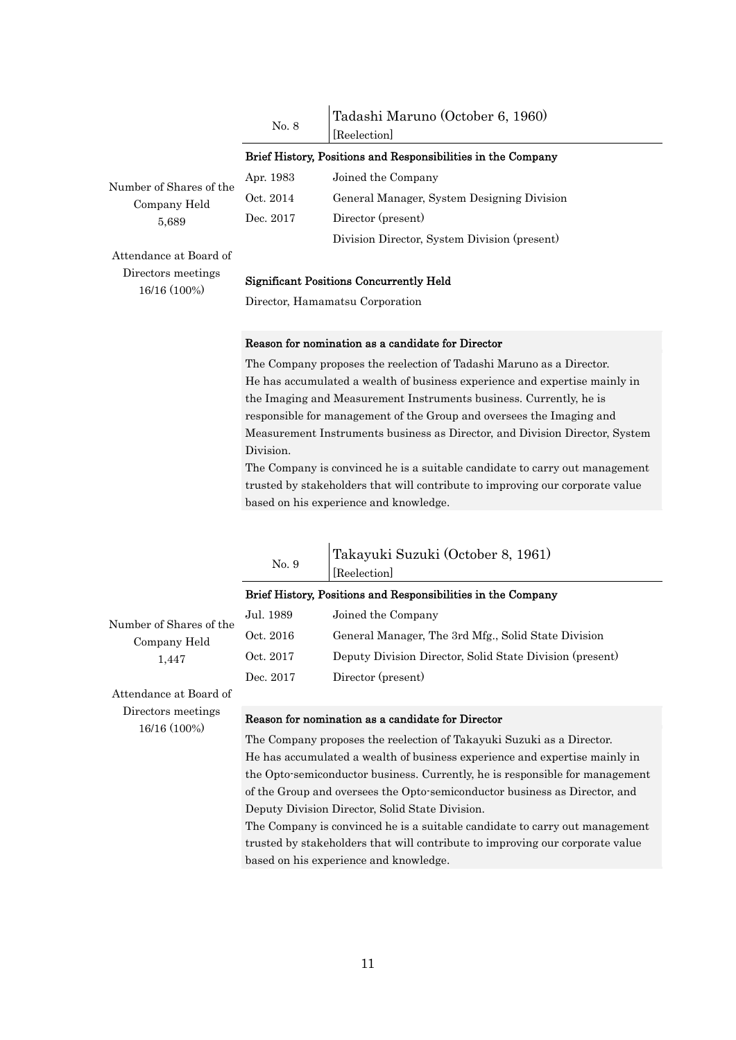|       | Tadashi Maruno (October 6, 1960) |
|-------|----------------------------------|
| No. 8 | [Reelection]                     |

#### Brief History, Positions and Responsibilities in the Company

Number of Shares of the Company Held 5,689

Apr. 1983 Joined the Company Oct. 2014 General Manager, System Designing Division Dec. 2017 Director (present) Division Director, System Division (present)

Attendance at Board of Directors meetings 16/16 (100%)

16/16 (100%)

#### Significant Positions Concurrently Held

Director, Hamamatsu Corporation

#### Reason for nomination as a candidate for Director

The Company proposes the reelection of Tadashi Maruno as a Director. He has accumulated a wealth of business experience and expertise mainly in the Imaging and Measurement Instruments business. Currently, he is responsible for management of the Group and oversees the Imaging and Measurement Instruments business as Director, and Division Director, System Division.

The Company is convinced he is a suitable candidate to carry out management trusted by stakeholders that will contribute to improving our corporate value based on his experience and knowledge.

|                         | No. 9     | Takayuki Suzuki (October 8, 1961)<br>[Reelection]            |
|-------------------------|-----------|--------------------------------------------------------------|
|                         |           | Brief History, Positions and Responsibilities in the Company |
| Number of Shares of the | Jul. 1989 | Joined the Company                                           |
| Company Held            | Oct. 2016 | General Manager, The 3rd Mfg., Solid State Division          |
| 1,447                   | Oct. 2017 | Deputy Division Director, Solid State Division (present)     |
|                         | Dec. 2017 | Director (present)                                           |
| Attendance at Board of  |           |                                                              |
| Directors meetings      |           | Reason for nomination as a candidate for Director            |

The Company proposes the reelection of Takayuki Suzuki as a Director. He has accumulated a wealth of business experience and expertise mainly in the Opto-semiconductor business. Currently, he is responsible for management of the Group and oversees the Opto-semiconductor business as Director, and Deputy Division Director, Solid State Division.

The Company is convinced he is a suitable candidate to carry out management trusted by stakeholders that will contribute to improving our corporate value based on his experience and knowledge.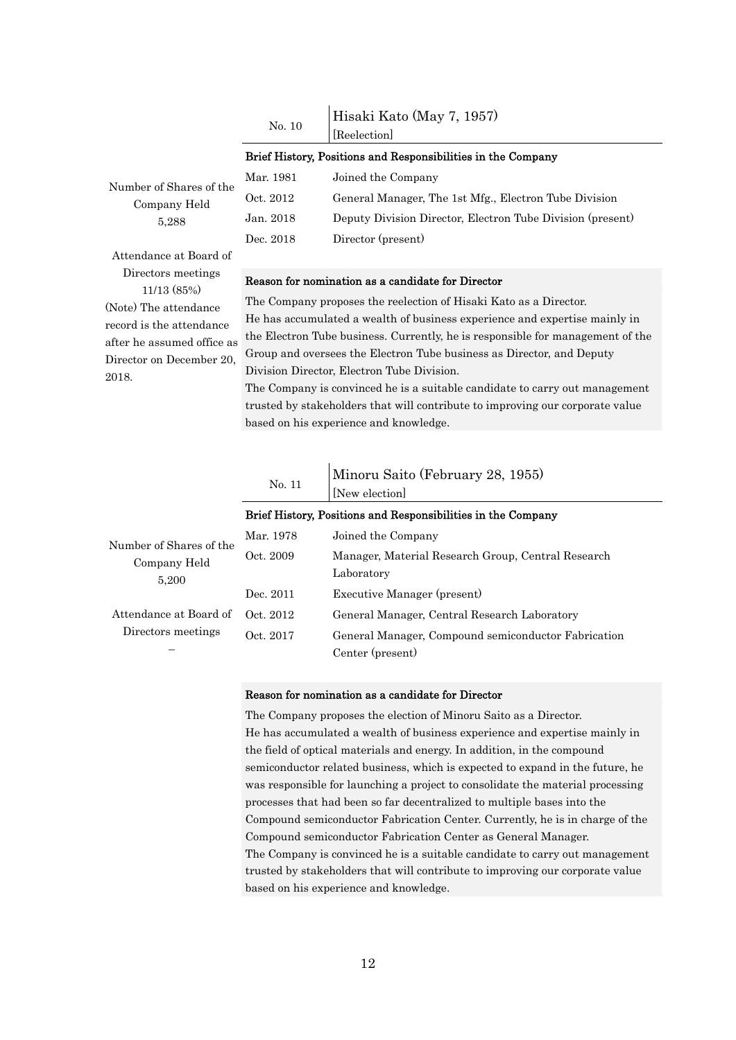|        | Hisaki Kato (May 7, 1957) |
|--------|---------------------------|
| No. 10 | [Reelection]              |

#### Brief History, Positions and Responsibilities in the Company

| Mar. 1981 | Joined the Company                                         |
|-----------|------------------------------------------------------------|
| Oct. 2012 | General Manager, The 1st Mfg., Electron Tube Division      |
| Jan. 2018 | Deputy Division Director, Electron Tube Division (present) |
| Dec. 2018 | Director (present)                                         |

Attendance at Board of Directors meetings 11/13 (85%) (Note) The attendance record is the attendance after he assumed office as Director on December 20, 2018.

Number of Shares of the Company Held 5,288

#### Reason for nomination as a candidate for Director

The Company proposes the reelection of Hisaki Kato as a Director. He has accumulated a wealth of business experience and expertise mainly in the Electron Tube business. Currently, he is responsible for management of the Group and oversees the Electron Tube business as Director, and Deputy Division Director, Electron Tube Division.

The Company is convinced he is a suitable candidate to carry out management trusted by stakeholders that will contribute to improving our corporate value based on his experience and knowledge.

No. 11 Minoru Saito (February 28, 1955)

|                                                  |           | Brief History, Positions and Responsibilities in the Company     |
|--------------------------------------------------|-----------|------------------------------------------------------------------|
| Number of Shares of the<br>Company Held<br>5,200 | Mar. 1978 | Joined the Company                                               |
|                                                  | Oct. 2009 | Manager, Material Research Group, Central Research<br>Laboratory |
|                                                  | Dec. 2011 | Executive Manager (present)                                      |
| Attendance at Board of                           | Oct. 2012 | General Manager, Central Research Laboratory                     |
| Directors meetings                               | Oct. 2017 | General Manager, Compound semiconductor Fabrication              |
|                                                  |           | Center (present)                                                 |

[New election]

#### Reason for nomination as a candidate for Director

The Company proposes the election of Minoru Saito as a Director. He has accumulated a wealth of business experience and expertise mainly in the field of optical materials and energy. In addition, in the compound semiconductor related business, which is expected to expand in the future, he was responsible for launching a project to consolidate the material processing processes that had been so far decentralized to multiple bases into the Compound semiconductor Fabrication Center. Currently, he is in charge of the Compound semiconductor Fabrication Center as General Manager. The Company is convinced he is a suitable candidate to carry out management trusted by stakeholders that will contribute to improving our corporate value based on his experience and knowledge.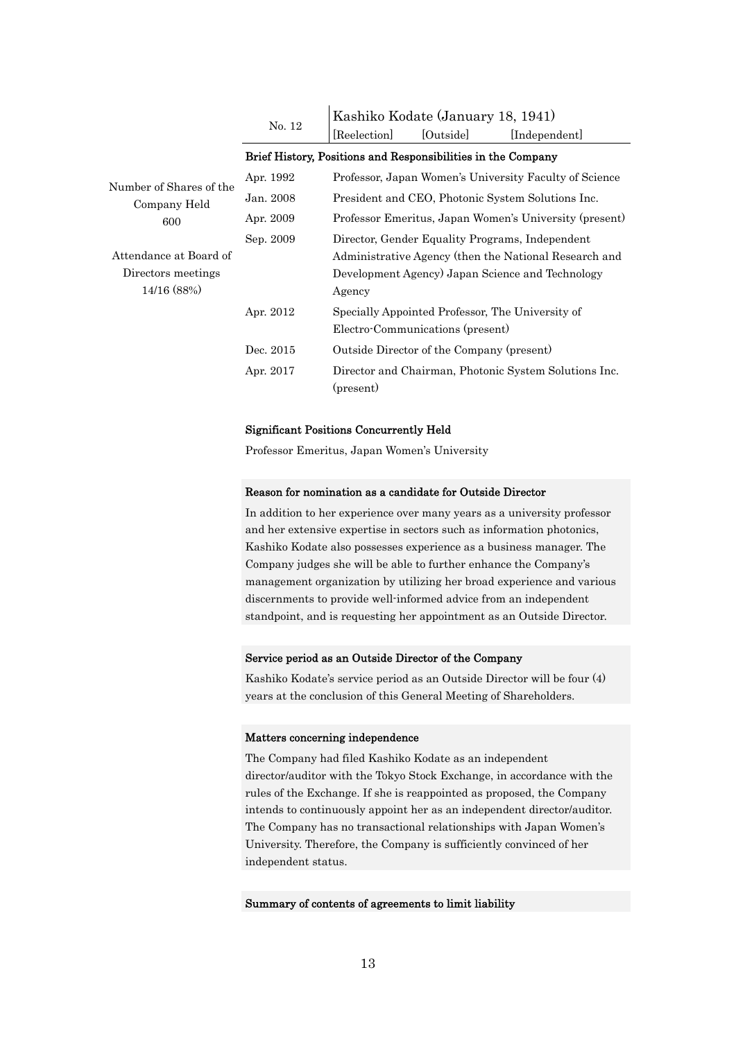|                         |           | Kashiko Kodate (January 18, 1941)                            |           |                                                        |
|-------------------------|-----------|--------------------------------------------------------------|-----------|--------------------------------------------------------|
|                         | No. 12    | Reelection                                                   | [Outside] | [Independent]                                          |
|                         |           | Brief History, Positions and Responsibilities in the Company |           |                                                        |
| Number of Shares of the | Apr. 1992 |                                                              |           | Professor, Japan Women's University Faculty of Science |
| Company Held            | Jan. 2008 |                                                              |           | President and CEO, Photonic System Solutions Inc.      |
| 600                     | Apr. 2009 |                                                              |           | Professor Emeritus, Japan Women's University (present) |
|                         | Sep. 2009 |                                                              |           | Director, Gender Equality Programs, Independent        |
| Attendance at Board of  |           |                                                              |           | Administrative Agency (then the National Research and  |
| Directors meetings      |           |                                                              |           | Development Agency) Japan Science and Technology       |
| 14/16 (88%)             |           | Agency                                                       |           |                                                        |
|                         | Apr. 2012 | Specially Appointed Professor, The University of             |           |                                                        |
|                         |           | Electro-Communications (present)                             |           |                                                        |
|                         | Dec. 2015 | Outside Director of the Company (present)                    |           |                                                        |
|                         | Apr. 2017 | (present)                                                    |           | Director and Chairman, Photonic System Solutions Inc.  |

#### Significant Positions Concurrently Held

Professor Emeritus, Japan Women's University

#### Reason for nomination as a candidate for Outside Director

In addition to her experience over many years as a university professor and her extensive expertise in sectors such as information photonics, Kashiko Kodate also possesses experience as a business manager. The Company judges she will be able to further enhance the Company's management organization by utilizing her broad experience and various discernments to provide well-informed advice from an independent standpoint, and is requesting her appointment as an Outside Director.

#### Service period as an Outside Director of the Company

Kashiko Kodate's service period as an Outside Director will be four (4) years at the conclusion of this General Meeting of Shareholders.

#### Matters concerning independence

The Company had filed Kashiko Kodate as an independent director/auditor with the Tokyo Stock Exchange, in accordance with the rules of the Exchange. If she is reappointed as proposed, the Company intends to continuously appoint her as an independent director/auditor. The Company has no transactional relationships with Japan Women's University. Therefore, the Company is sufficiently convinced of her independent status.

#### Summary of contents of agreements to limit liability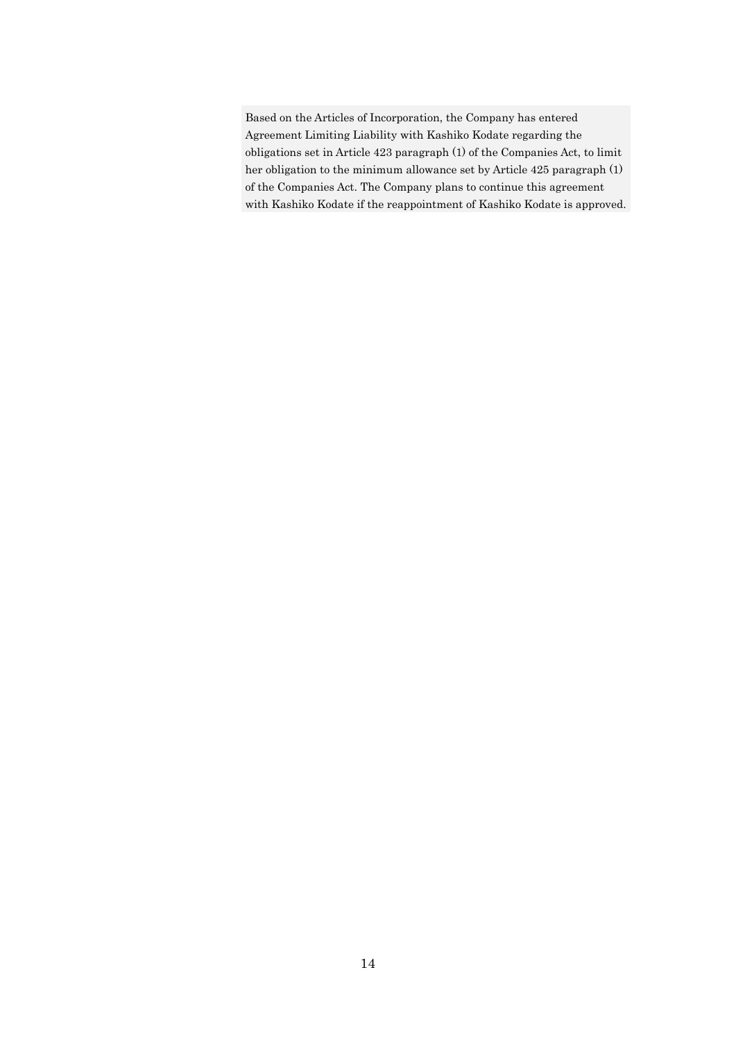Based on the Articles of Incorporation, the Company has entered Agreement Limiting Liability with Kashiko Kodate regarding the obligations set in Article 423 paragraph (1) of the Companies Act, to limit her obligation to the minimum allowance set by Article 425 paragraph (1) of the Companies Act. The Company plans to continue this agreement with Kashiko Kodate if the reappointment of Kashiko Kodate is approved.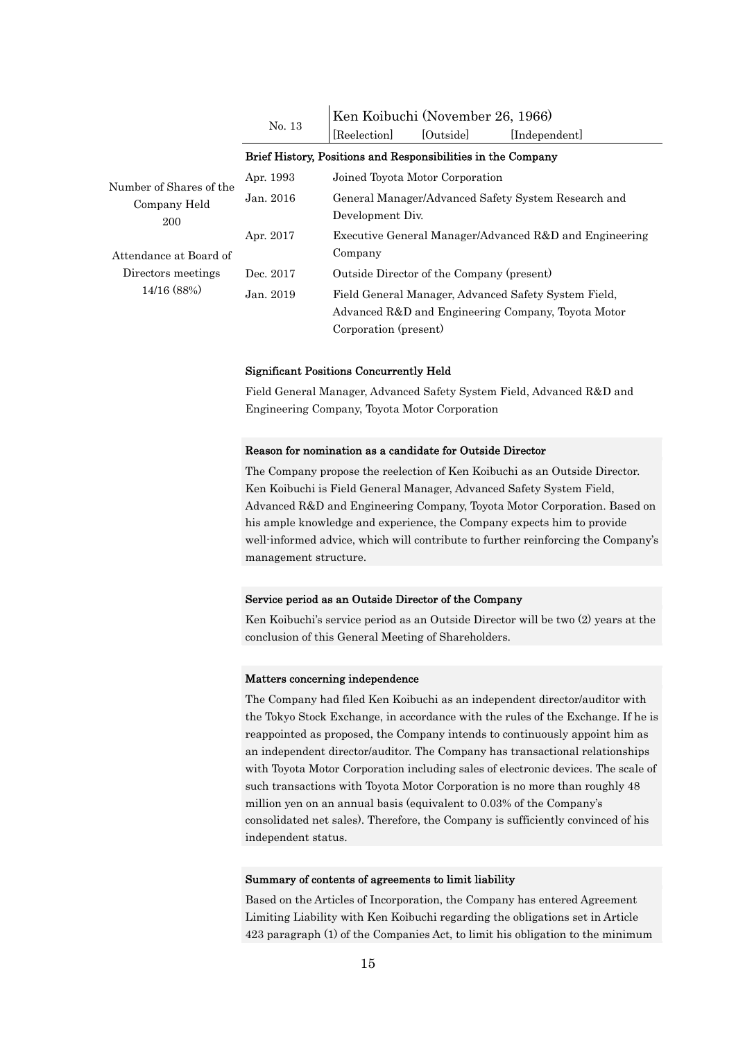|                                                | No. 13    | Ken Koibuchi (November 26, 1966)<br>[Outside]<br>Reelection<br>[Independent]                                                        |  |  |
|------------------------------------------------|-----------|-------------------------------------------------------------------------------------------------------------------------------------|--|--|
|                                                |           | Brief History, Positions and Responsibilities in the Company                                                                        |  |  |
|                                                | Apr. 1993 | Joined Toyota Motor Corporation                                                                                                     |  |  |
| Number of Shares of the<br>Company Held<br>200 | Jan. 2016 | General Manager/Advanced Safety System Research and<br>Development Div.                                                             |  |  |
| Attendance at Board of                         | Apr. 2017 | Executive General Manager/Advanced R&D and Engineering<br>Company                                                                   |  |  |
| Directors meetings                             | Dec. 2017 | Outside Director of the Company (present)                                                                                           |  |  |
| 14/16 (88%)                                    | Jan. 2019 | Field General Manager, Advanced Safety System Field,<br>Advanced R&D and Engineering Company, Toyota Motor<br>Corporation (present) |  |  |

#### Significant Positions Concurrently Held

Field General Manager, Advanced Safety System Field, Advanced R&D and Engineering Company, Toyota Motor Corporation

#### Reason for nomination as a candidate for Outside Director

The Company propose the reelection of Ken Koibuchi as an Outside Director. Ken Koibuchi is Field General Manager, Advanced Safety System Field, Advanced R&D and Engineering Company, Toyota Motor Corporation. Based on his ample knowledge and experience, the Company expects him to provide well-informed advice, which will contribute to further reinforcing the Company's management structure.

#### Service period as an Outside Director of the Company

Ken Koibuchi's service period as an Outside Director will be two (2) years at the conclusion of this General Meeting of Shareholders.

#### Matters concerning independence

The Company had filed Ken Koibuchi as an independent director/auditor with the Tokyo Stock Exchange, in accordance with the rules of the Exchange. If he is reappointed as proposed, the Company intends to continuously appoint him as an independent director/auditor. The Company has transactional relationships with Toyota Motor Corporation including sales of electronic devices. The scale of such transactions with Toyota Motor Corporation is no more than roughly 48 million yen on an annual basis (equivalent to 0.03% of the Company's consolidated net sales). Therefore, the Company is sufficiently convinced of his independent status.

#### Summary of contents of agreements to limit liability

Based on the Articles of Incorporation, the Company has entered Agreement Limiting Liability with Ken Koibuchi regarding the obligations set in Article 423 paragraph (1) of the Companies Act, to limit his obligation to the minimum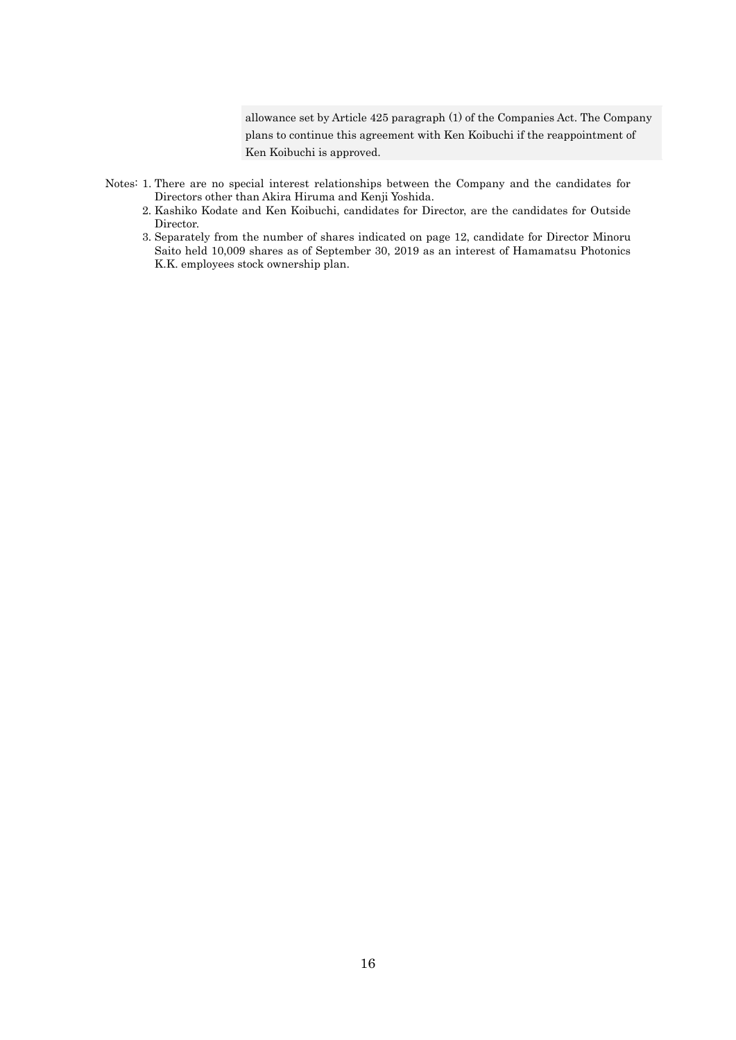allowance set by Article 425 paragraph (1) of the Companies Act. The Company plans to continue this agreement with Ken Koibuchi if the reappointment of Ken Koibuchi is approved.

- Notes: 1. There are no special interest relationships between the Company and the candidates for Directors other than Akira Hiruma and Kenji Yoshida.
	- 2. Kashiko Kodate and Ken Koibuchi, candidates for Director, are the candidates for Outside Director.
	- 3. Separately from the number of shares indicated on page 12, candidate for Director Minoru Saito held 10,009 shares as of September 30, 2019 as an interest of Hamamatsu Photonics K.K. employees stock ownership plan.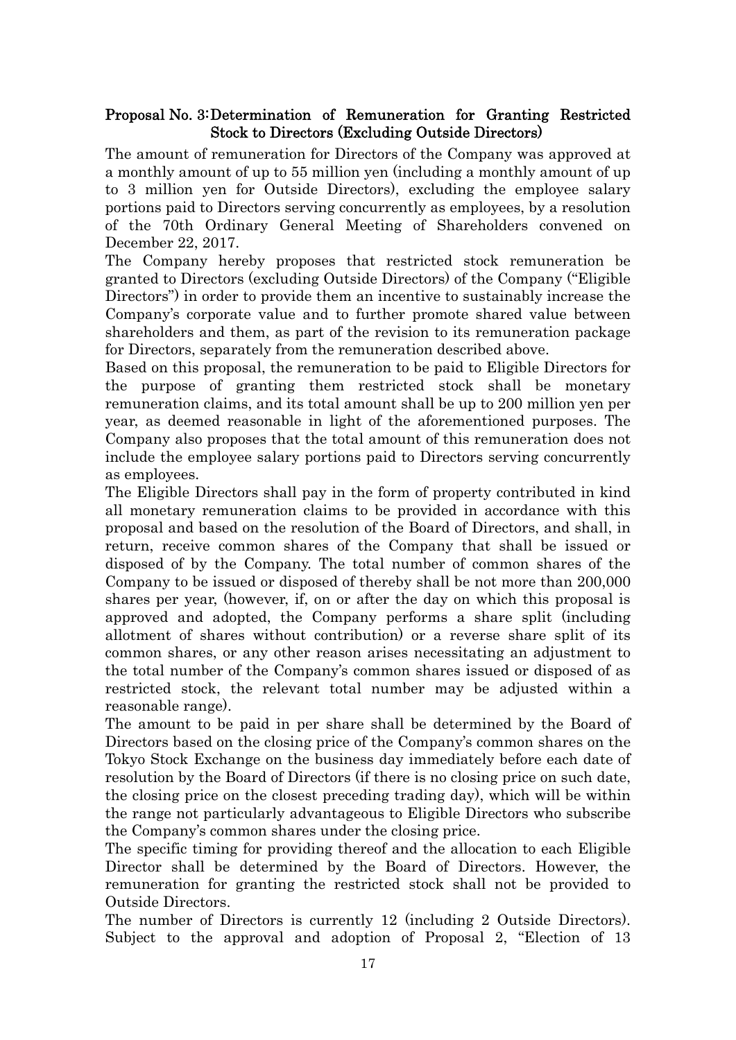## Proposal No. 3: Determination of Remuneration for Granting Restricted Stock to Directors (Excluding Outside Directors)

The amount of remuneration for Directors of the Company was approved at a monthly amount of up to 55 million yen (including a monthly amount of up to 3 million yen for Outside Directors), excluding the employee salary portions paid to Directors serving concurrently as employees, by a resolution of the 70th Ordinary General Meeting of Shareholders convened on December 22, 2017.

The Company hereby proposes that restricted stock remuneration be granted to Directors (excluding Outside Directors) of the Company ("Eligible Directors") in order to provide them an incentive to sustainably increase the Company's corporate value and to further promote shared value between shareholders and them, as part of the revision to its remuneration package for Directors, separately from the remuneration described above.

Based on this proposal, the remuneration to be paid to Eligible Directors for the purpose of granting them restricted stock shall be monetary remuneration claims, and its total amount shall be up to 200 million yen per year, as deemed reasonable in light of the aforementioned purposes. The Company also proposes that the total amount of this remuneration does not include the employee salary portions paid to Directors serving concurrently as employees.

The Eligible Directors shall pay in the form of property contributed in kind all monetary remuneration claims to be provided in accordance with this proposal and based on the resolution of the Board of Directors, and shall, in return, receive common shares of the Company that shall be issued or disposed of by the Company. The total number of common shares of the Company to be issued or disposed of thereby shall be not more than 200,000 shares per year, (however, if, on or after the day on which this proposal is approved and adopted, the Company performs a share split (including allotment of shares without contribution) or a reverse share split of its common shares, or any other reason arises necessitating an adjustment to the total number of the Company's common shares issued or disposed of as restricted stock, the relevant total number may be adjusted within a reasonable range).

The amount to be paid in per share shall be determined by the Board of Directors based on the closing price of the Company's common shares on the Tokyo Stock Exchange on the business day immediately before each date of resolution by the Board of Directors (if there is no closing price on such date, the closing price on the closest preceding trading day), which will be within the range not particularly advantageous to Eligible Directors who subscribe the Company's common shares under the closing price.

The specific timing for providing thereof and the allocation to each Eligible Director shall be determined by the Board of Directors. However, the remuneration for granting the restricted stock shall not be provided to Outside Directors.

The number of Directors is currently 12 (including 2 Outside Directors). Subject to the approval and adoption of Proposal 2, "Election of 13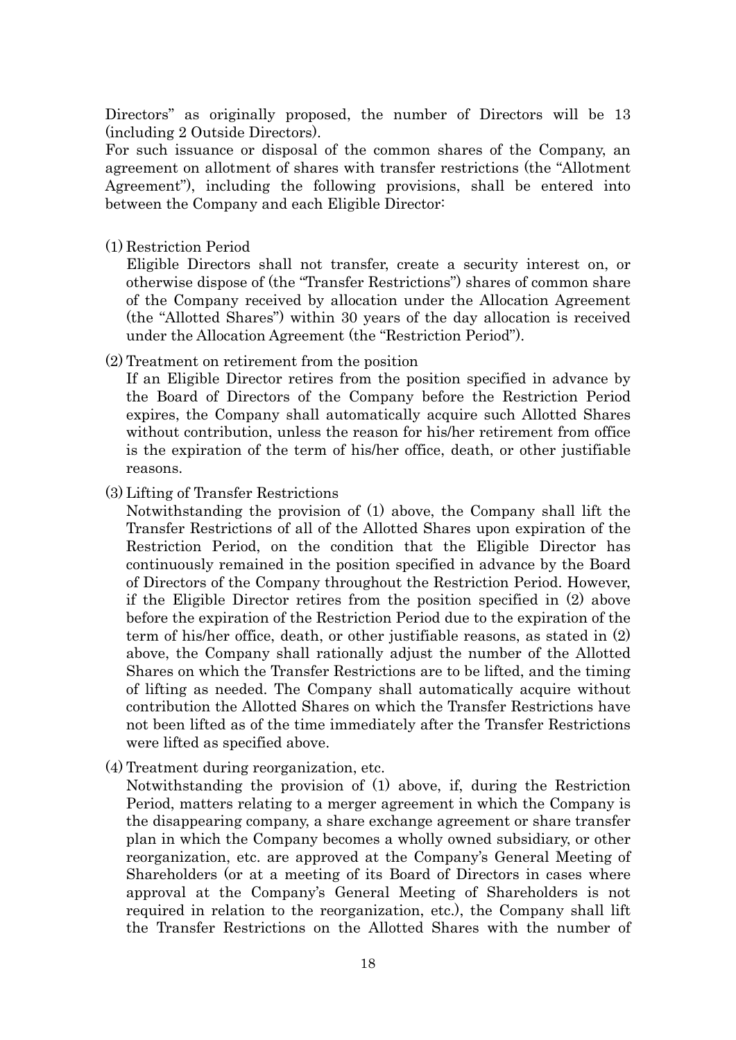Directors" as originally proposed, the number of Directors will be 13 (including 2 Outside Directors).

For such issuance or disposal of the common shares of the Company, an agreement on allotment of shares with transfer restrictions (the "Allotment Agreement"), including the following provisions, shall be entered into between the Company and each Eligible Director:

(1) Restriction Period

Eligible Directors shall not transfer, create a security interest on, or otherwise dispose of (the "Transfer Restrictions") shares of common share of the Company received by allocation under the Allocation Agreement (the "Allotted Shares") within 30 years of the day allocation is received under the Allocation Agreement (the "Restriction Period").

(2) Treatment on retirement from the position

If an Eligible Director retires from the position specified in advance by the Board of Directors of the Company before the Restriction Period expires, the Company shall automatically acquire such Allotted Shares without contribution, unless the reason for his/her retirement from office is the expiration of the term of his/her office, death, or other justifiable reasons.

(3) Lifting of Transfer Restrictions

Notwithstanding the provision of (1) above, the Company shall lift the Transfer Restrictions of all of the Allotted Shares upon expiration of the Restriction Period, on the condition that the Eligible Director has continuously remained in the position specified in advance by the Board of Directors of the Company throughout the Restriction Period. However, if the Eligible Director retires from the position specified in (2) above before the expiration of the Restriction Period due to the expiration of the term of his/her office, death, or other justifiable reasons, as stated in (2) above, the Company shall rationally adjust the number of the Allotted Shares on which the Transfer Restrictions are to be lifted, and the timing of lifting as needed. The Company shall automatically acquire without contribution the Allotted Shares on which the Transfer Restrictions have not been lifted as of the time immediately after the Transfer Restrictions were lifted as specified above.

(4) Treatment during reorganization, etc.

Notwithstanding the provision of (1) above, if, during the Restriction Period, matters relating to a merger agreement in which the Company is the disappearing company, a share exchange agreement or share transfer plan in which the Company becomes a wholly owned subsidiary, or other reorganization, etc. are approved at the Company's General Meeting of Shareholders (or at a meeting of its Board of Directors in cases where approval at the Company's General Meeting of Shareholders is not required in relation to the reorganization, etc.), the Company shall lift the Transfer Restrictions on the Allotted Shares with the number of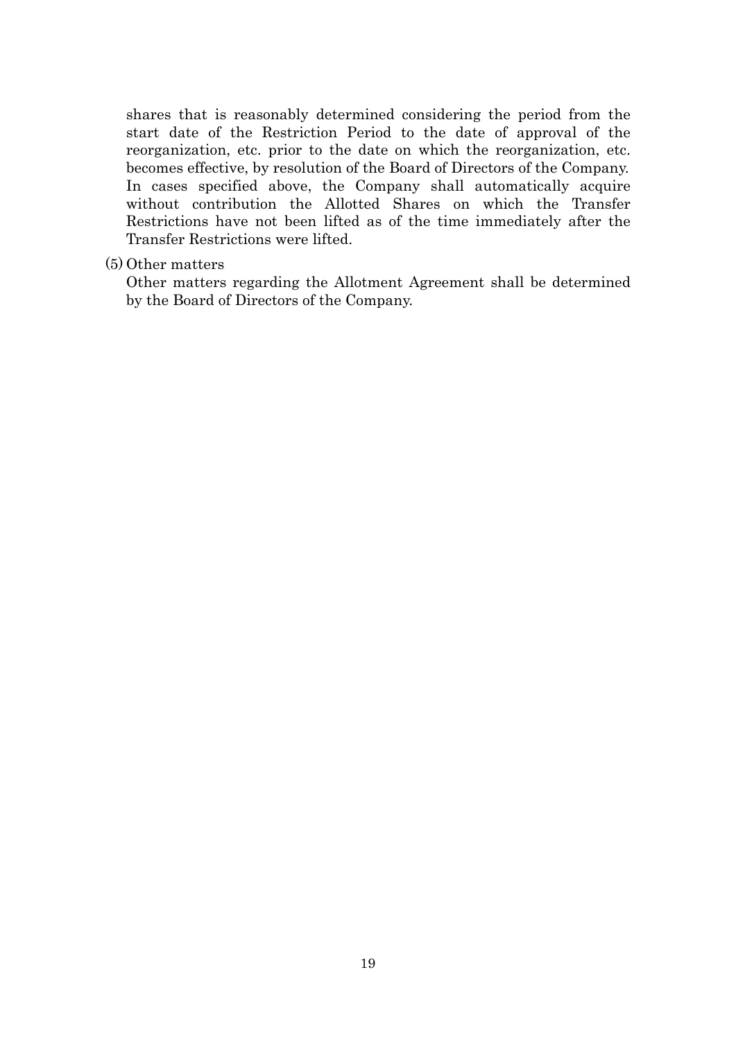shares that is reasonably determined considering the period from the start date of the Restriction Period to the date of approval of the reorganization, etc. prior to the date on which the reorganization, etc. becomes effective, by resolution of the Board of Directors of the Company. In cases specified above, the Company shall automatically acquire without contribution the Allotted Shares on which the Transfer Restrictions have not been lifted as of the time immediately after the Transfer Restrictions were lifted.

### (5) Other matters

Other matters regarding the Allotment Agreement shall be determined by the Board of Directors of the Company.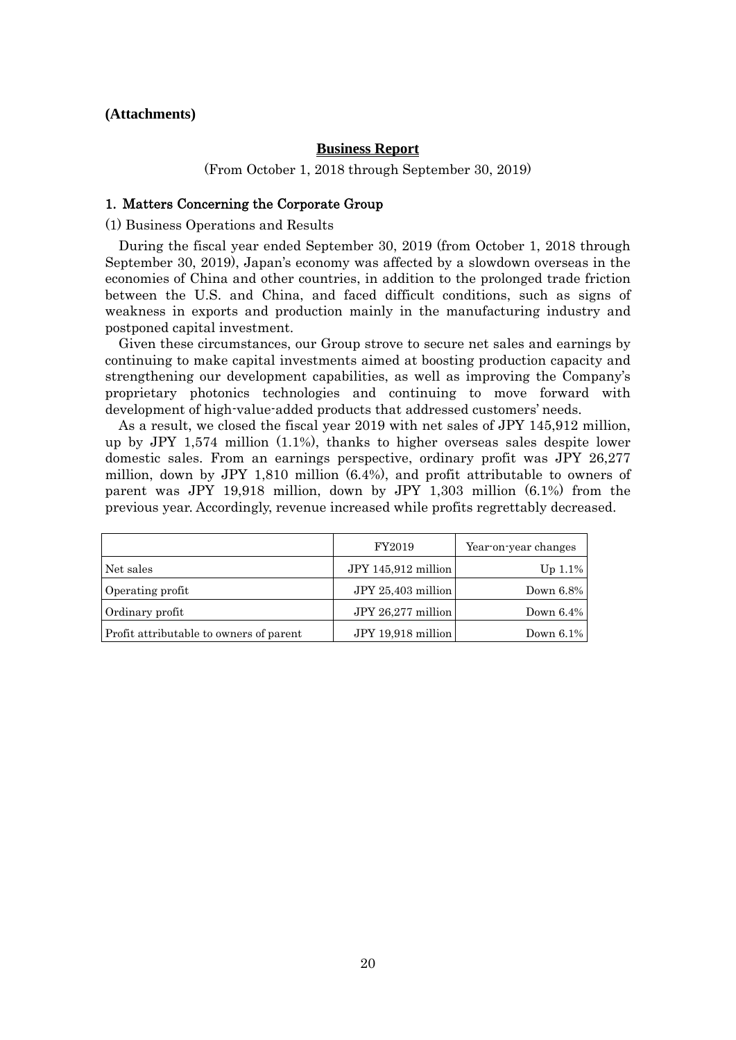### **(Attachments)**

#### **Business Report**

(From October 1, 2018 through September 30, 2019)

#### 1. Matters Concerning the Corporate Group

(1) Business Operations and Results

During the fiscal year ended September 30, 2019 (from October 1, 2018 through September 30, 2019), Japan's economy was affected by a slowdown overseas in the economies of China and other countries, in addition to the prolonged trade friction between the U.S. and China, and faced difficult conditions, such as signs of weakness in exports and production mainly in the manufacturing industry and postponed capital investment.

Given these circumstances, our Group strove to secure net sales and earnings by continuing to make capital investments aimed at boosting production capacity and strengthening our development capabilities, as well as improving the Company's proprietary photonics technologies and continuing to move forward with development of high-value-added products that addressed customers' needs.

As a result, we closed the fiscal year 2019 with net sales of JPY 145,912 million, up by JPY 1,574 million (1.1%), thanks to higher overseas sales despite lower domestic sales. From an earnings perspective, ordinary profit was JPY 26,277 million, down by JPY 1,810 million (6.4%), and profit attributable to owners of parent was JPY 19,918 million, down by JPY 1,303 million (6.1%) from the previous year. Accordingly, revenue increased while profits regrettably decreased.

|                                         | FY2019              | Year-on-year changes |
|-----------------------------------------|---------------------|----------------------|
| Net sales                               | JPY 145,912 million | Up $1.1\%$           |
| Operating profit                        | JPY 25,403 million  | Down 6.8%            |
| Ordinary profit                         | JPY 26,277 million  | Down $6.4\%$         |
| Profit attributable to owners of parent | JPY 19,918 million  | Down 6.1%            |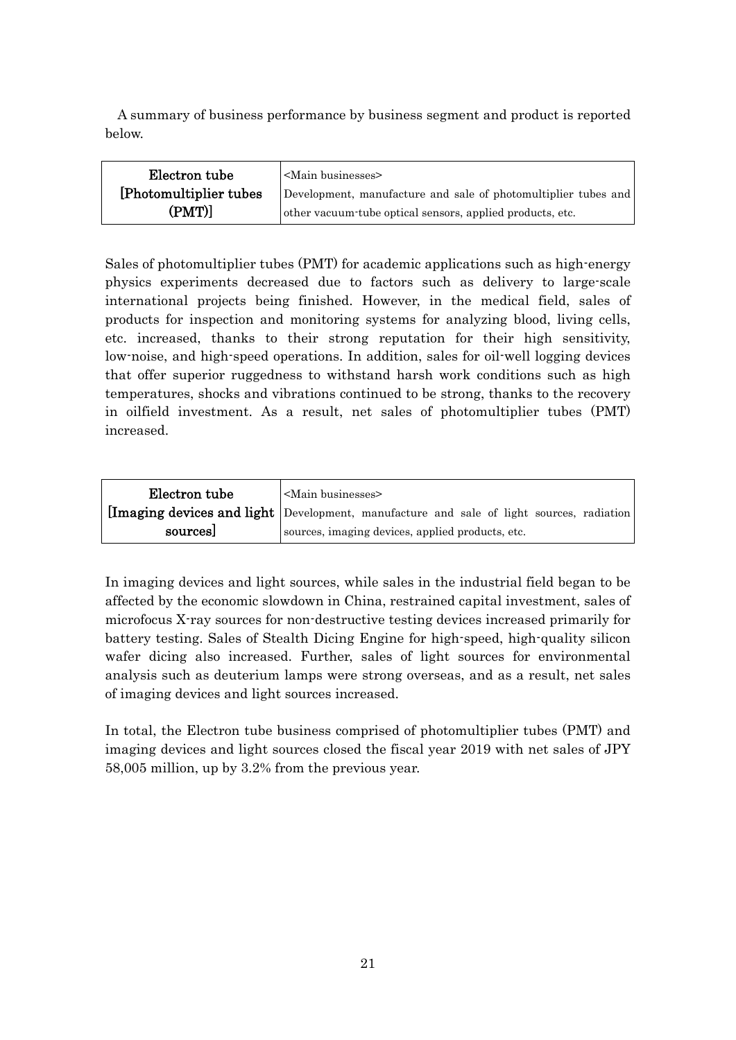A summary of business performance by business segment and product is reported below.

| Electron tube           | <main businesses=""></main>                                    |
|-------------------------|----------------------------------------------------------------|
| [Photomultiplier tubes] | Development, manufacture and sale of photomultiplier tubes and |
| (PMT)]                  | other vacuum tube optical sensors, applied products, etc.      |

Sales of photomultiplier tubes (PMT) for academic applications such as high-energy physics experiments decreased due to factors such as delivery to large-scale international projects being finished. However, in the medical field, sales of products for inspection and monitoring systems for analyzing blood, living cells, etc. increased, thanks to their strong reputation for their high sensitivity, low-noise, and high-speed operations. In addition, sales for oil-well logging devices that offer superior ruggedness to withstand harsh work conditions such as high temperatures, shocks and vibrations continued to be strong, thanks to the recovery in oilfield investment. As a result, net sales of photomultiplier tubes (PMT) increased.

| Electron tube | <main businesses=""></main>                                                              |  |  |
|---------------|------------------------------------------------------------------------------------------|--|--|
|               | [Imaging devices and light Development, manufacture and sale of light sources, radiation |  |  |
| sources       | sources, imaging devices, applied products, etc.                                         |  |  |

In imaging devices and light sources, while sales in the industrial field began to be affected by the economic slowdown in China, restrained capital investment, sales of microfocus X-ray sources for non-destructive testing devices increased primarily for battery testing. Sales of Stealth Dicing Engine for high-speed, high-quality silicon wafer dicing also increased. Further, sales of light sources for environmental analysis such as deuterium lamps were strong overseas, and as a result, net sales of imaging devices and light sources increased.

In total, the Electron tube business comprised of photomultiplier tubes (PMT) and imaging devices and light sources closed the fiscal year 2019 with net sales of JPY 58,005 million, up by 3.2% from the previous year.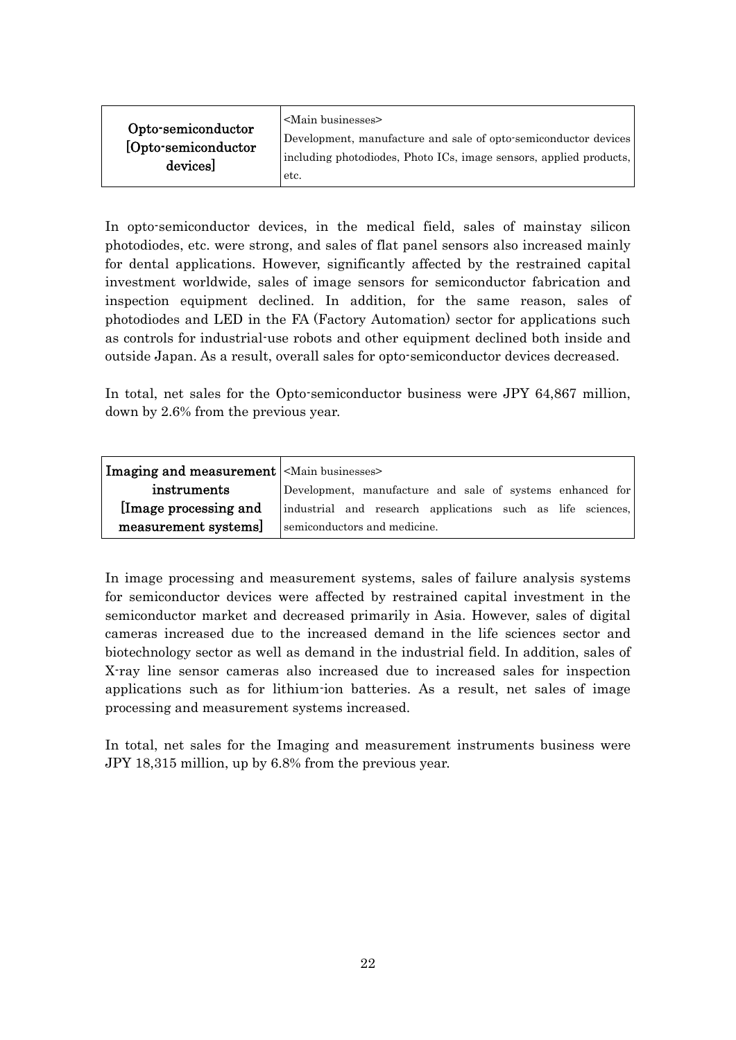| Opto-semiconductor<br>[Opto-semiconductor<br>devices] | $\le$ Main businesses $>$<br>Development, manufacture and sale of opto-semiconductor devices<br>including photodiodes, Photo ICs, image sensors, applied products,<br>etc. |
|-------------------------------------------------------|----------------------------------------------------------------------------------------------------------------------------------------------------------------------------|
|-------------------------------------------------------|----------------------------------------------------------------------------------------------------------------------------------------------------------------------------|

In opto-semiconductor devices, in the medical field, sales of mainstay silicon photodiodes, etc. were strong, and sales of flat panel sensors also increased mainly for dental applications. However, significantly affected by the restrained capital investment worldwide, sales of image sensors for semiconductor fabrication and inspection equipment declined. In addition, for the same reason, sales of photodiodes and LED in the FA (Factory Automation) sector for applications such as controls for industrial-use robots and other equipment declined both inside and outside Japan. As a result, overall sales for opto-semiconductor devices decreased.

In total, net sales for the Opto-semiconductor business were JPY 64,867 million, down by 2.6% from the previous year.

| <b>Imaging and measurement</b> <main businesses=""></main> |                                                             |
|------------------------------------------------------------|-------------------------------------------------------------|
| instruments                                                | Development, manufacture and sale of systems enhanced for   |
| Image processing and                                       | industrial and research applications such as life sciences, |
| measurement systems]                                       | semiconductors and medicine.                                |

In image processing and measurement systems, sales of failure analysis systems for semiconductor devices were affected by restrained capital investment in the semiconductor market and decreased primarily in Asia. However, sales of digital cameras increased due to the increased demand in the life sciences sector and biotechnology sector as well as demand in the industrial field. In addition, sales of X-ray line sensor cameras also increased due to increased sales for inspection applications such as for lithium-ion batteries. As a result, net sales of image processing and measurement systems increased.

In total, net sales for the Imaging and measurement instruments business were JPY 18,315 million, up by 6.8% from the previous year.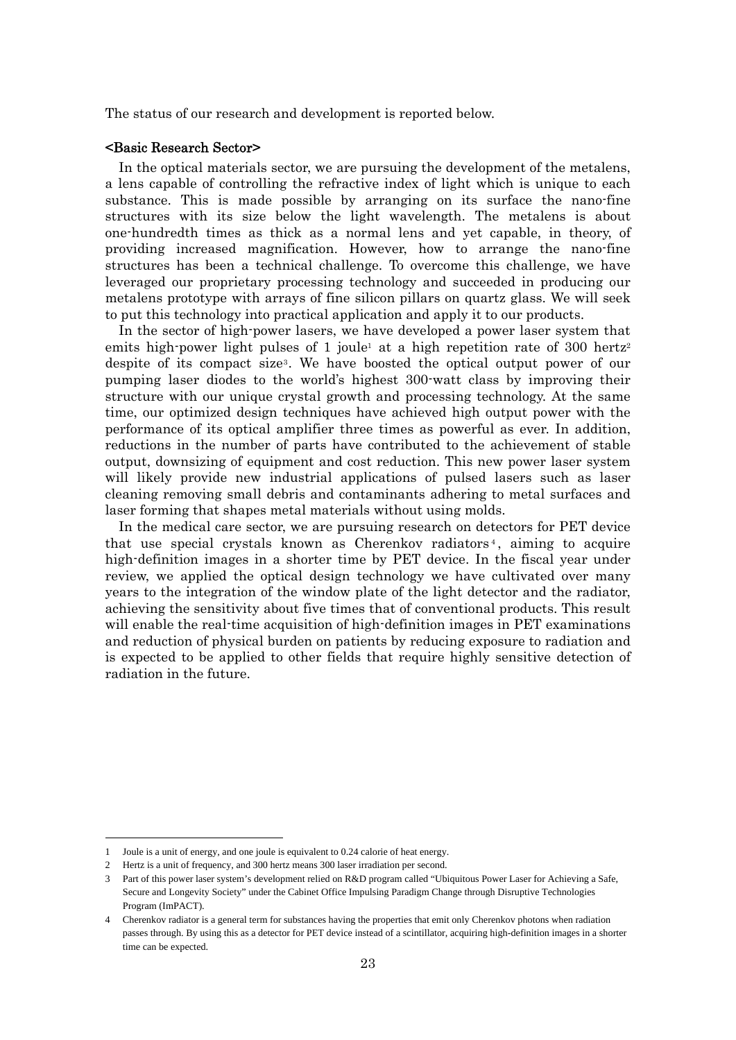The status of our research and development is reported below.

### <Basic Research Sector>

In the optical materials sector, we are pursuing the development of the metalens, a lens capable of controlling the refractive index of light which is unique to each substance. This is made possible by arranging on its surface the nano-fine structures with its size below the light wavelength. The metalens is about one-hundredth times as thick as a normal lens and yet capable, in theory, of providing increased magnification. However, how to arrange the nano-fine structures has been a technical challenge. To overcome this challenge, we have leveraged our proprietary processing technology and succeeded in producing our metalens prototype with arrays of fine silicon pillars on quartz glass. We will seek to put this technology into practical application and apply it to our products.

In the sector of high-power lasers, we have developed a power laser system that emits high-power light pulses of 1 joule<sup>1</sup> at a high repetition rate of 300 hertz<sup>2</sup> despite of its compact size3. We have boosted the optical output power of our pumping laser diodes to the world's highest 300-watt class by improving their structure with our unique crystal growth and processing technology. At the same time, our optimized design techniques have achieved high output power with the performance of its optical amplifier three times as powerful as ever. In addition, reductions in the number of parts have contributed to the achievement of stable output, downsizing of equipment and cost reduction. This new power laser system will likely provide new industrial applications of pulsed lasers such as laser cleaning removing small debris and contaminants adhering to metal surfaces and laser forming that shapes metal materials without using molds.

In the medical care sector, we are pursuing research on detectors for PET device that use special crystals known as Cherenkov radiators<sup>4</sup>, aiming to acquire high-definition images in a shorter time by PET device. In the fiscal year under review, we applied the optical design technology we have cultivated over many years to the integration of the window plate of the light detector and the radiator, achieving the sensitivity about five times that of conventional products. This result will enable the real-time acquisition of high-definition images in PET examinations and reduction of physical burden on patients by reducing exposure to radiation and is expected to be applied to other fields that require highly sensitive detection of radiation in the future.

<sup>1</sup> Joule is a unit of energy, and one joule is equivalent to 0.24 calorie of heat energy.

<sup>2</sup> Hertz is a unit of frequency, and 300 hertz means 300 laser irradiation per second.

<sup>3</sup> Part of this power laser system's development relied on R&D program called "Ubiquitous Power Laser for Achieving a Safe, Secure and Longevity Society" under the Cabinet Office Impulsing Paradigm Change through Disruptive Technologies Program (ImPACT).

<sup>4</sup> Cherenkov radiator is a general term for substances having the properties that emit only Cherenkov photons when radiation passes through. By using this as a detector for PET device instead of a scintillator, acquiring high-definition images in a shorter time can be expected.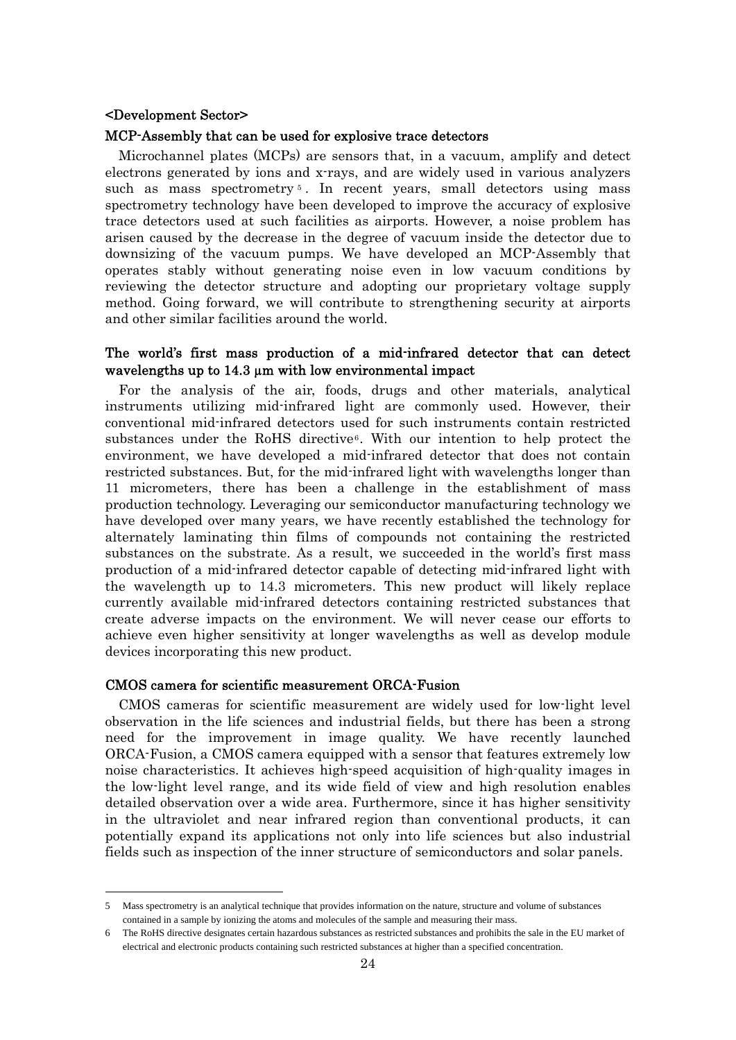### <Development Sector>

#### MCP-Assembly that can be used for explosive trace detectors

Microchannel plates (MCPs) are sensors that, in a vacuum, amplify and detect electrons generated by ions and x-rays, and are widely used in various analyzers such as mass spectrometry<sup>5</sup>. In recent years, small detectors using mass spectrometry technology have been developed to improve the accuracy of explosive trace detectors used at such facilities as airports. However, a noise problem has arisen caused by the decrease in the degree of vacuum inside the detector due to downsizing of the vacuum pumps. We have developed an MCP-Assembly that operates stably without generating noise even in low vacuum conditions by reviewing the detector structure and adopting our proprietary voltage supply method. Going forward, we will contribute to strengthening security at airports and other similar facilities around the world.

### The world's first mass production of a mid-infrared detector that can detect wavelengths up to 14.3  $\mu$ m with low environmental impact

For the analysis of the air, foods, drugs and other materials, analytical instruments utilizing mid-infrared light are commonly used. However, their conventional mid-infrared detectors used for such instruments contain restricted substances under the RoHS directive6. With our intention to help protect the environment, we have developed a mid-infrared detector that does not contain restricted substances. But, for the mid-infrared light with wavelengths longer than 11 micrometers, there has been a challenge in the establishment of mass production technology. Leveraging our semiconductor manufacturing technology we have developed over many years, we have recently established the technology for alternately laminating thin films of compounds not containing the restricted substances on the substrate. As a result, we succeeded in the world's first mass production of a mid-infrared detector capable of detecting mid-infrared light with the wavelength up to 14.3 micrometers. This new product will likely replace currently available mid-infrared detectors containing restricted substances that create adverse impacts on the environment. We will never cease our efforts to achieve even higher sensitivity at longer wavelengths as well as develop module devices incorporating this new product.

#### CMOS camera for scientific measurement ORCA-Fusion

CMOS cameras for scientific measurement are widely used for low-light level observation in the life sciences and industrial fields, but there has been a strong need for the improvement in image quality. We have recently launched ORCA-Fusion, a CMOS camera equipped with a sensor that features extremely low noise characteristics. It achieves high-speed acquisition of high-quality images in the low-light level range, and its wide field of view and high resolution enables detailed observation over a wide area. Furthermore, since it has higher sensitivity in the ultraviolet and near infrared region than conventional products, it can potentially expand its applications not only into life sciences but also industrial fields such as inspection of the inner structure of semiconductors and solar panels.

<sup>5</sup> Mass spectrometry is an analytical technique that provides information on the nature, structure and volume of substances contained in a sample by ionizing the atoms and molecules of the sample and measuring their mass.

<sup>6</sup> The RoHS directive designates certain hazardous substances as restricted substances and prohibits the sale in the EU market of electrical and electronic products containing such restricted substances at higher than a specified concentration.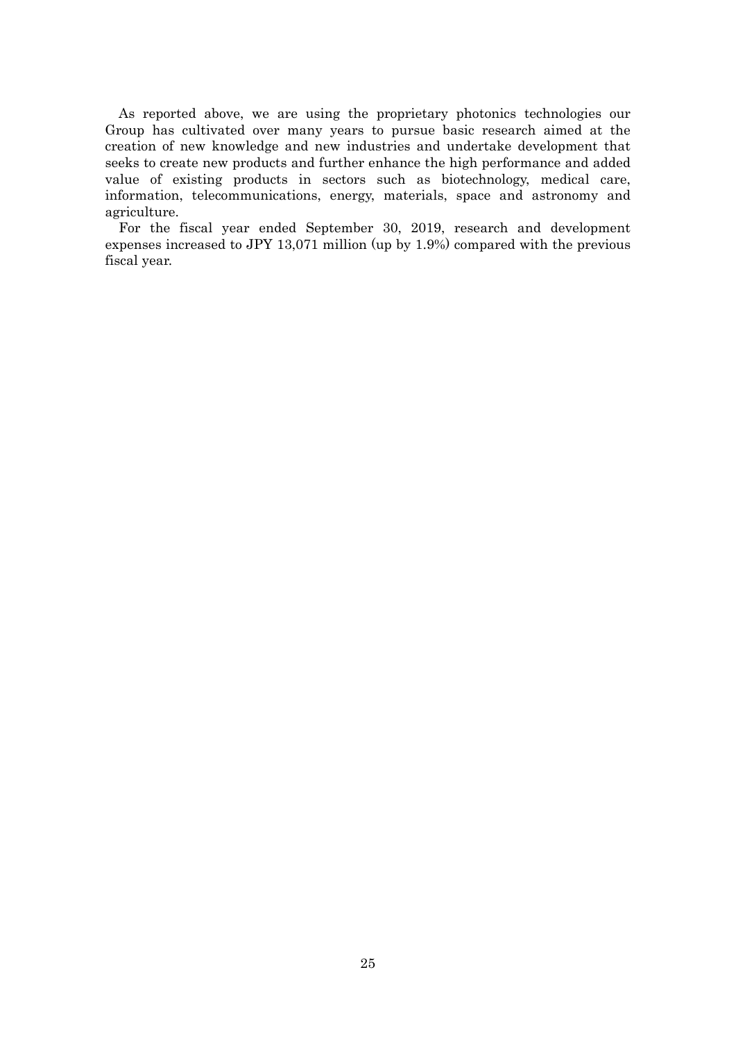As reported above, we are using the proprietary photonics technologies our Group has cultivated over many years to pursue basic research aimed at the creation of new knowledge and new industries and undertake development that seeks to create new products and further enhance the high performance and added value of existing products in sectors such as biotechnology, medical care, information, telecommunications, energy, materials, space and astronomy and agriculture.

For the fiscal year ended September 30, 2019, research and development expenses increased to JPY 13,071 million (up by 1.9%) compared with the previous fiscal year.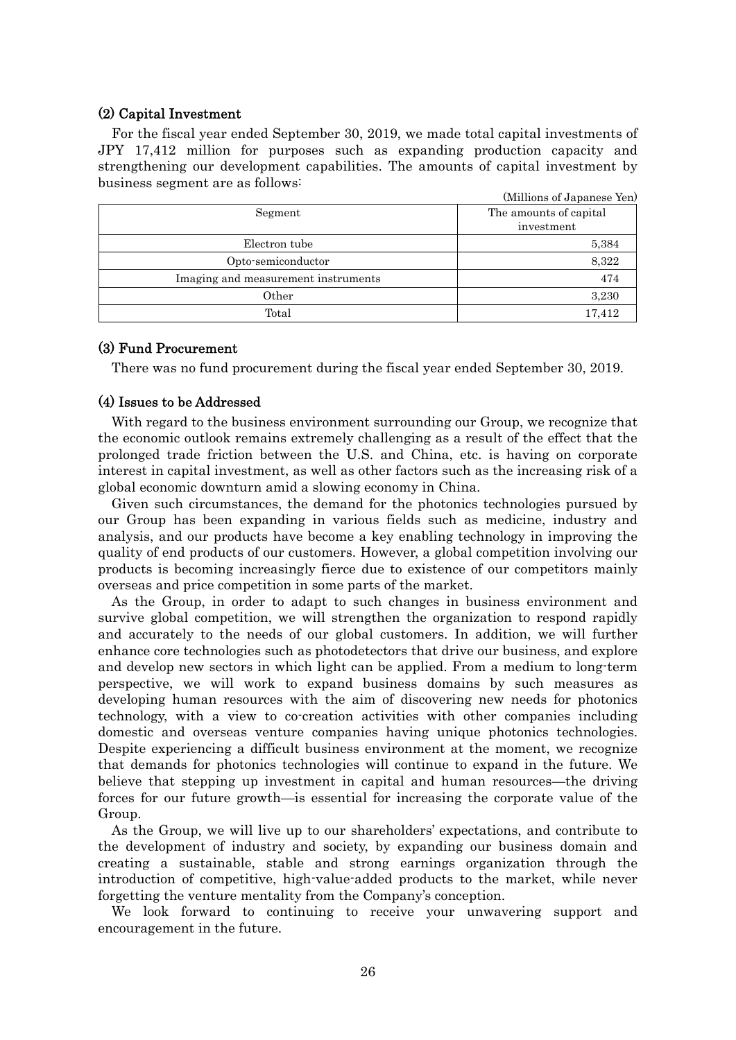### (2) Capital Investment

For the fiscal year ended September 30, 2019, we made total capital investments of JPY 17,412 million for purposes such as expanding production capacity and strengthening our development capabilities. The amounts of capital investment by business segment are as follows:

| ີ                                   | (Millions of Japanese Yen)           |
|-------------------------------------|--------------------------------------|
| Segment                             | The amounts of capital<br>investment |
| Electron tube                       | 5,384                                |
| Opto-semiconductor                  | 8,322                                |
| Imaging and measurement instruments | 474                                  |
| Other                               | 3,230                                |
| Total                               | 17,412                               |

### (3) Fund Procurement

There was no fund procurement during the fiscal year ended September 30, 2019.

### (4) Issues to be Addressed

With regard to the business environment surrounding our Group, we recognize that the economic outlook remains extremely challenging as a result of the effect that the prolonged trade friction between the U.S. and China, etc. is having on corporate interest in capital investment, as well as other factors such as the increasing risk of a global economic downturn amid a slowing economy in China.

Given such circumstances, the demand for the photonics technologies pursued by our Group has been expanding in various fields such as medicine, industry and analysis, and our products have become a key enabling technology in improving the quality of end products of our customers. However, a global competition involving our products is becoming increasingly fierce due to existence of our competitors mainly overseas and price competition in some parts of the market.

As the Group, in order to adapt to such changes in business environment and survive global competition, we will strengthen the organization to respond rapidly and accurately to the needs of our global customers. In addition, we will further enhance core technologies such as photodetectors that drive our business, and explore and develop new sectors in which light can be applied. From a medium to long-term perspective, we will work to expand business domains by such measures as developing human resources with the aim of discovering new needs for photonics technology, with a view to co-creation activities with other companies including domestic and overseas venture companies having unique photonics technologies. Despite experiencing a difficult business environment at the moment, we recognize that demands for photonics technologies will continue to expand in the future. We believe that stepping up investment in capital and human resources—the driving forces for our future growth—is essential for increasing the corporate value of the Group.

As the Group, we will live up to our shareholders' expectations, and contribute to the development of industry and society, by expanding our business domain and creating a sustainable, stable and strong earnings organization through the introduction of competitive, high-value-added products to the market, while never forgetting the venture mentality from the Company's conception.

We look forward to continuing to receive your unwavering support and encouragement in the future.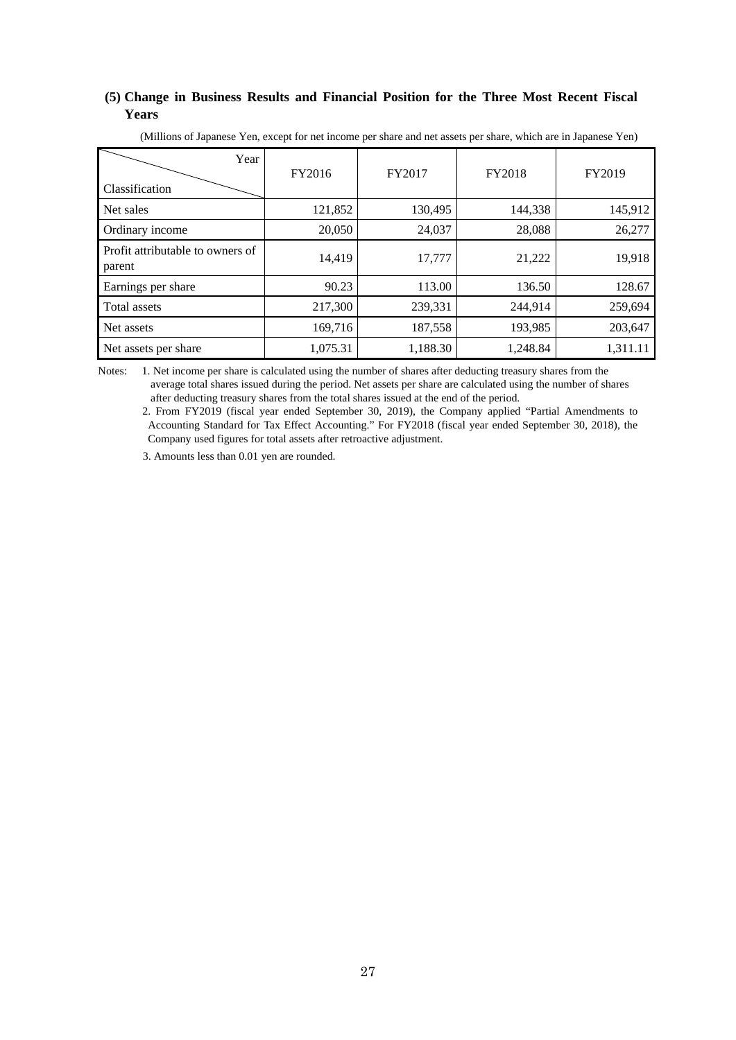### **(5) Change in Business Results and Financial Position for the Three Most Recent Fiscal Years**

| Year<br>Classification                     | FY2016   | FY2017   | FY2018   | FY2019   |
|--------------------------------------------|----------|----------|----------|----------|
| Net sales                                  | 121,852  | 130,495  | 144,338  | 145,912  |
| Ordinary income                            | 20,050   | 24,037   | 28,088   | 26,277   |
| Profit attributable to owners of<br>parent | 14,419   | 17,777   | 21,222   | 19,918   |
| Earnings per share                         | 90.23    | 113.00   | 136.50   | 128.67   |
| Total assets                               | 217,300  | 239,331  | 244,914  | 259,694  |
| Net assets                                 | 169,716  | 187,558  | 193,985  | 203,647  |
| Net assets per share                       | 1,075.31 | 1,188.30 | 1,248.84 | 1,311.11 |

(Millions of Japanese Yen, except for net income per share and net assets per share, which are in Japanese Yen)

Notes: 1. Net income per share is calculated using the number of shares after deducting treasury shares from the average total shares issued during the period. Net assets per share are calculated using the number of shares after deducting treasury shares from the total shares issued at the end of the period.

2. From FY2019 (fiscal year ended September 30, 2019), the Company applied "Partial Amendments to Accounting Standard for Tax Effect Accounting." For FY2018 (fiscal year ended September 30, 2018), the Company used figures for total assets after retroactive adjustment.

3. Amounts less than 0.01 yen are rounded.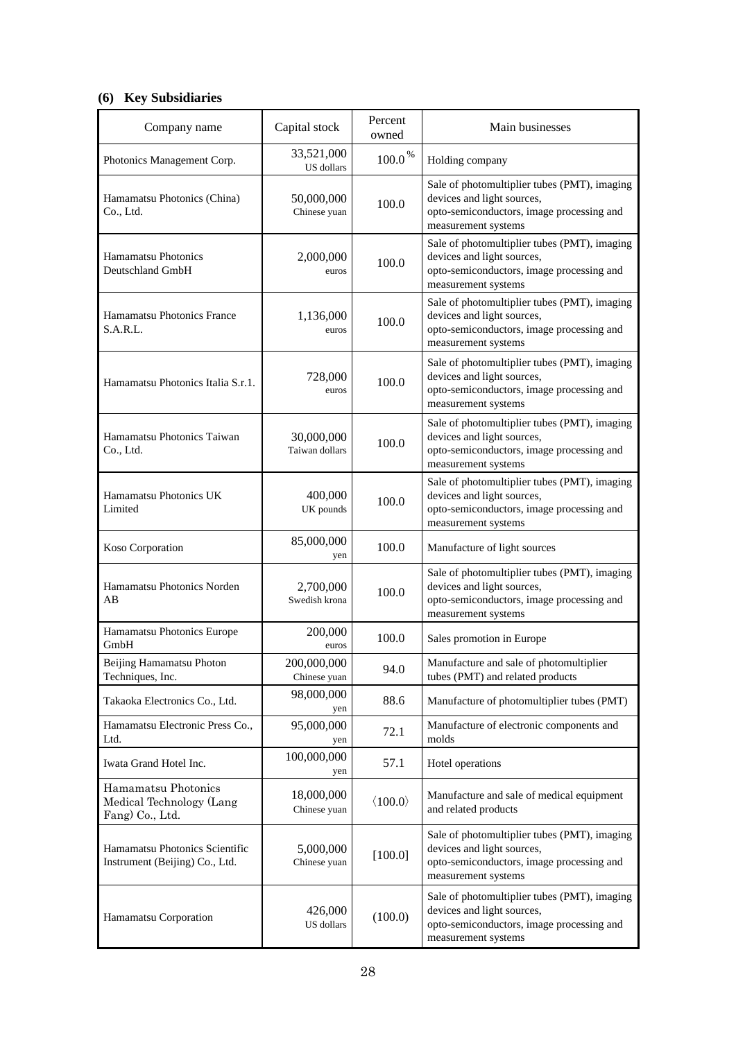# **(6) Key Subsidiaries**

| Company name                                                       | Capital stock                | Percent<br>owned        | Main businesses                                                                                                                                |
|--------------------------------------------------------------------|------------------------------|-------------------------|------------------------------------------------------------------------------------------------------------------------------------------------|
| Photonics Management Corp.                                         | 33,521,000<br>US dollars     | $100.0\,^{\%}$          | Holding company                                                                                                                                |
| Hamamatsu Photonics (China)<br>Co., Ltd.                           | 50,000,000<br>Chinese yuan   | 100.0                   | Sale of photomultiplier tubes (PMT), imaging<br>devices and light sources,<br>opto-semiconductors, image processing and<br>measurement systems |
| Hamamatsu Photonics<br>Deutschland GmbH                            | 2,000,000<br>euros           | 100.0                   | Sale of photomultiplier tubes (PMT), imaging<br>devices and light sources,<br>opto-semiconductors, image processing and<br>measurement systems |
| Hamamatsu Photonics France<br>S.A.R.L.                             | 1,136,000<br>euros           | 100.0                   | Sale of photomultiplier tubes (PMT), imaging<br>devices and light sources,<br>opto-semiconductors, image processing and<br>measurement systems |
| Hamamatsu Photonics Italia S.r.1.                                  | 728,000<br>euros             | 100.0                   | Sale of photomultiplier tubes (PMT), imaging<br>devices and light sources,<br>opto-semiconductors, image processing and<br>measurement systems |
| Hamamatsu Photonics Taiwan<br>Co., Ltd.                            | 30,000,000<br>Taiwan dollars | 100.0                   | Sale of photomultiplier tubes (PMT), imaging<br>devices and light sources,<br>opto-semiconductors, image processing and<br>measurement systems |
| Hamamatsu Photonics UK<br>Limited                                  | 400,000<br>UK pounds         | 100.0                   | Sale of photomultiplier tubes (PMT), imaging<br>devices and light sources,<br>opto-semiconductors, image processing and<br>measurement systems |
| Koso Corporation                                                   | 85,000,000<br>yen            | 100.0                   | Manufacture of light sources                                                                                                                   |
| Hamamatsu Photonics Norden<br>AB                                   | 2,700,000<br>Swedish krona   | 100.0                   | Sale of photomultiplier tubes (PMT), imaging<br>devices and light sources,<br>opto-semiconductors, image processing and<br>measurement systems |
| Hamamatsu Photonics Europe<br>GmbH                                 | 200,000<br>euros             | 100.0                   | Sales promotion in Europe                                                                                                                      |
| Beijing Hamamatsu Photon<br>Techniques, Inc.                       | 200,000,000<br>Chinese yuan  | 94.0                    | Manufacture and sale of photomultiplier<br>tubes (PMT) and related products                                                                    |
| Takaoka Electronics Co., Ltd.                                      | 98,000,000<br>yen            | 88.6                    | Manufacture of photomultiplier tubes (PMT)                                                                                                     |
| Hamamatsu Electronic Press Co.,<br>Ltd.                            | 95,000,000<br>yen            | 72.1                    | Manufacture of electronic components and<br>molds                                                                                              |
| Iwata Grand Hotel Inc.                                             | 100,000,000<br>yen           | 57.1                    | Hotel operations                                                                                                                               |
| Hamamatsu Photonics<br>Medical Technology (Lang<br>Fang) Co., Ltd. | 18,000,000<br>Chinese yuan   | $\langle 100.0 \rangle$ | Manufacture and sale of medical equipment<br>and related products                                                                              |
| Hamamatsu Photonics Scientific<br>Instrument (Beijing) Co., Ltd.   | 5,000,000<br>Chinese yuan    | [100.0]                 | Sale of photomultiplier tubes (PMT), imaging<br>devices and light sources,<br>opto-semiconductors, image processing and<br>measurement systems |
| Hamamatsu Corporation                                              | 426,000<br>US dollars        | (100.0)                 | Sale of photomultiplier tubes (PMT), imaging<br>devices and light sources,<br>opto-semiconductors, image processing and<br>measurement systems |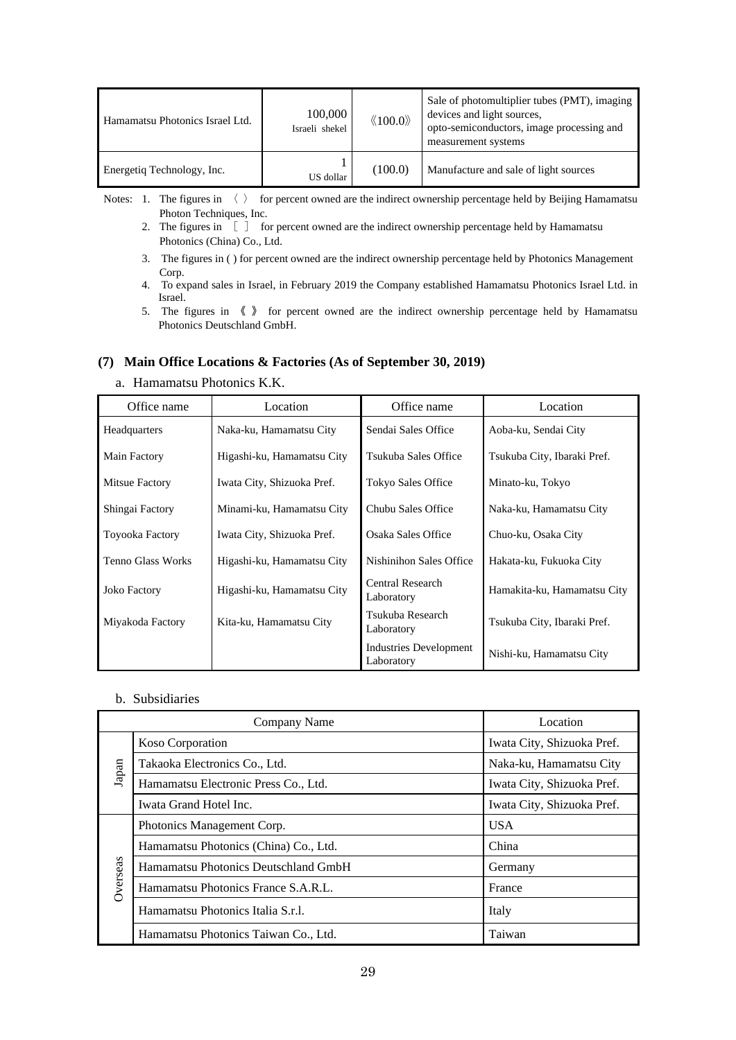| Hamamatsu Photonics Israel Ltd. | 100,000<br>Israeli shekel | $\langle\!\langle 100.0 \rangle\!\rangle$ | Sale of photomultiplier tubes (PMT), imaging<br>devices and light sources,<br>opto-semiconductors, image processing and<br>measurement systems |
|---------------------------------|---------------------------|-------------------------------------------|------------------------------------------------------------------------------------------------------------------------------------------------|
| Energetiq Technology, Inc.      | US dollar                 | (100.0)                                   | Manufacture and sale of light sources                                                                                                          |

Notes: 1. The figures in  $\langle \rangle$  for percent owned are the indirect ownership percentage held by Beijing Hamamatsu Photon Techniques, Inc.

- 2. The figures in  $\begin{bmatrix} 1 & 1 \end{bmatrix}$  for percent owned are the indirect ownership percentage held by Hamamatsu Photonics (China) Co., Ltd.
- 3. The figures in ( ) for percent owned are the indirect ownership percentage held by Photonics Management Corp.
- 4. To expand sales in Israel, in February 2019 the Company established Hamamatsu Photonics Israel Ltd. in Israel.
- 5. The figures in 《 》 for percent owned are the indirect ownership percentage held by Hamamatsu Photonics Deutschland GmbH.

### **(7) Main Office Locations & Factories (As of September 30, 2019)**

a. Hamamatsu Photonics K.K.

| Office name            | Location                   | Office name                          | Location                    |
|------------------------|----------------------------|--------------------------------------|-----------------------------|
| Headquarters           | Naka-ku, Hamamatsu City    | Sendai Sales Office                  | Aoba-ku, Sendai City        |
| Main Factory           | Higashi-ku, Hamamatsu City | Tsukuba Sales Office                 | Tsukuba City, Ibaraki Pref. |
| Mitsue Factory         | Iwata City, Shizuoka Pref. | <b>Tokyo Sales Office</b>            | Minato-ku, Tokyo            |
| Shingai Factory        | Minami-ku, Hamamatsu City  | Chubu Sales Office                   | Naka-ku, Hamamatsu City     |
| <b>Toyooka Factory</b> | Iwata City, Shizuoka Pref. | Osaka Sales Office                   | Chuo-ku, Osaka City         |
| Tenno Glass Works      | Higashi-ku, Hamamatsu City | Nishinihon Sales Office              | Hakata-ku, Fukuoka City     |
| <b>Joko Factory</b>    | Higashi-ku, Hamamatsu City | Central Research<br>Laboratory       | Hamakita-ku, Hamamatsu City |
| Miyakoda Factory       | Kita-ku, Hamamatsu City    | Tsukuba Research<br>Laboratory       | Tsukuba City, Ibaraki Pref. |
|                        |                            | Industries Development<br>Laboratory | Nishi-ku, Hamamatsu City    |

b. Subsidiaries

|          | Company Name                          | Location                   |
|----------|---------------------------------------|----------------------------|
|          | <b>Koso Corporation</b>               | Iwata City, Shizuoka Pref. |
| Japan    | Takaoka Electronics Co., Ltd.         | Naka-ku, Hamamatsu City    |
|          | Hamamatsu Electronic Press Co., Ltd.  | Iwata City, Shizuoka Pref. |
|          | Iwata Grand Hotel Inc.                | Iwata City, Shizuoka Pref. |
|          | Photonics Management Corp.            | <b>USA</b>                 |
|          | Hamamatsu Photonics (China) Co., Ltd. | China                      |
|          | Hamamatsu Photonics Deutschland GmbH  | Germany                    |
| Overseas | Hamamatsu Photonics France S.A.R.L.   | France                     |
|          | Hamamatsu Photonics Italia S.r.l.     | Italy                      |
|          | Hamamatsu Photonics Taiwan Co., Ltd.  | Taiwan                     |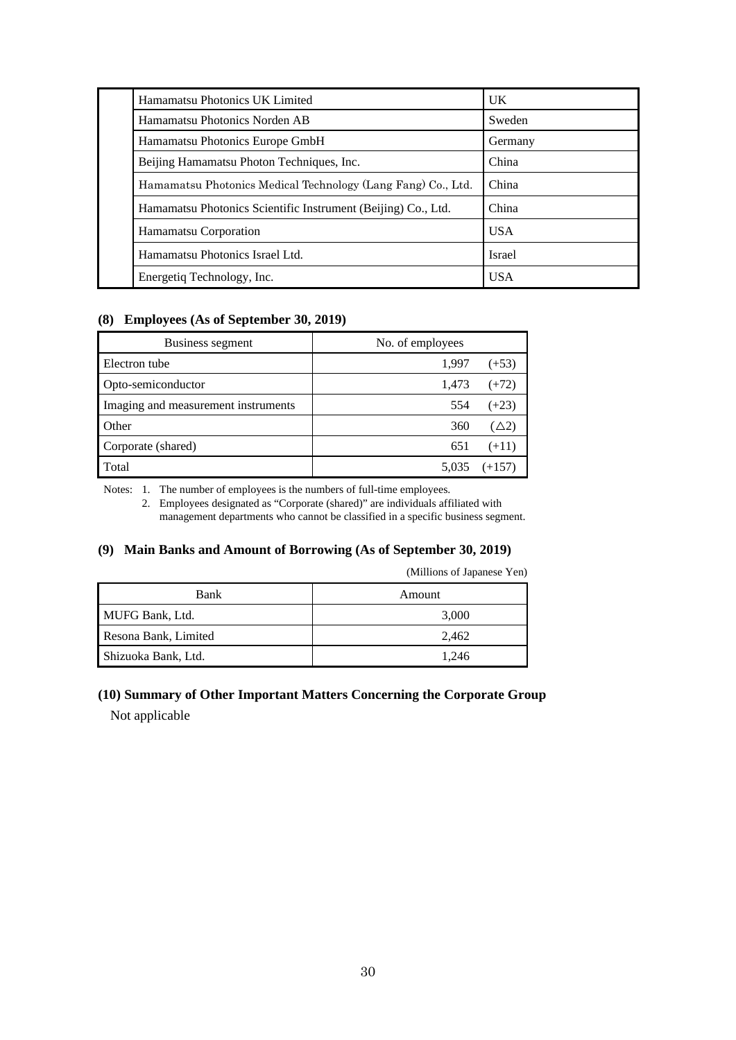| Hamamatsu Photonics UK Limited                                | U <sub>K</sub> |
|---------------------------------------------------------------|----------------|
| Hamamatsu Photonics Norden AB                                 | Sweden         |
| Hamamatsu Photonics Europe GmbH                               | Germany        |
| Beijing Hamamatsu Photon Techniques, Inc.                     | China          |
| Hamamatsu Photonics Medical Technology (Lang Fang) Co., Ltd.  | China          |
| Hamamatsu Photonics Scientific Instrument (Beijing) Co., Ltd. | China          |
| Hamamatsu Corporation                                         | <b>USA</b>     |
| Hamamatsu Photonics Israel Ltd.                               | <b>Israel</b>  |
| Energetiq Technology, Inc.                                    | <b>USA</b>     |

### **(8) Employees (As of September 30, 2019)**

| Business segment                    | No. of employees |                 |
|-------------------------------------|------------------|-----------------|
| Electron tube                       | 1,997            | $(+53)$         |
| Opto-semiconductor                  | 1,473            | $(+72)$         |
| Imaging and measurement instruments | 554              | $(+23)$         |
| <b>Other</b>                        | 360              | $(\triangle 2)$ |
| Corporate (shared)                  | 651              | $(+11)$         |
| Total                               | 5,035            | $(+157)$        |

Notes: 1. The number of employees is the numbers of full-time employees.

 2. Employees designated as "Corporate (shared)" are individuals affiliated with management departments who cannot be classified in a specific business segment.

### **(9) Main Banks and Amount of Borrowing (As of September 30, 2019)**

(Millions of Japanese Yen)

| <b>Bank</b>          | Amount |
|----------------------|--------|
| MUFG Bank, Ltd.      | 3,000  |
| Resona Bank, Limited | 2.462  |
| Shizuoka Bank, Ltd.  | 1.246  |

## **(10) Summary of Other Important Matters Concerning the Corporate Group**  Not applicable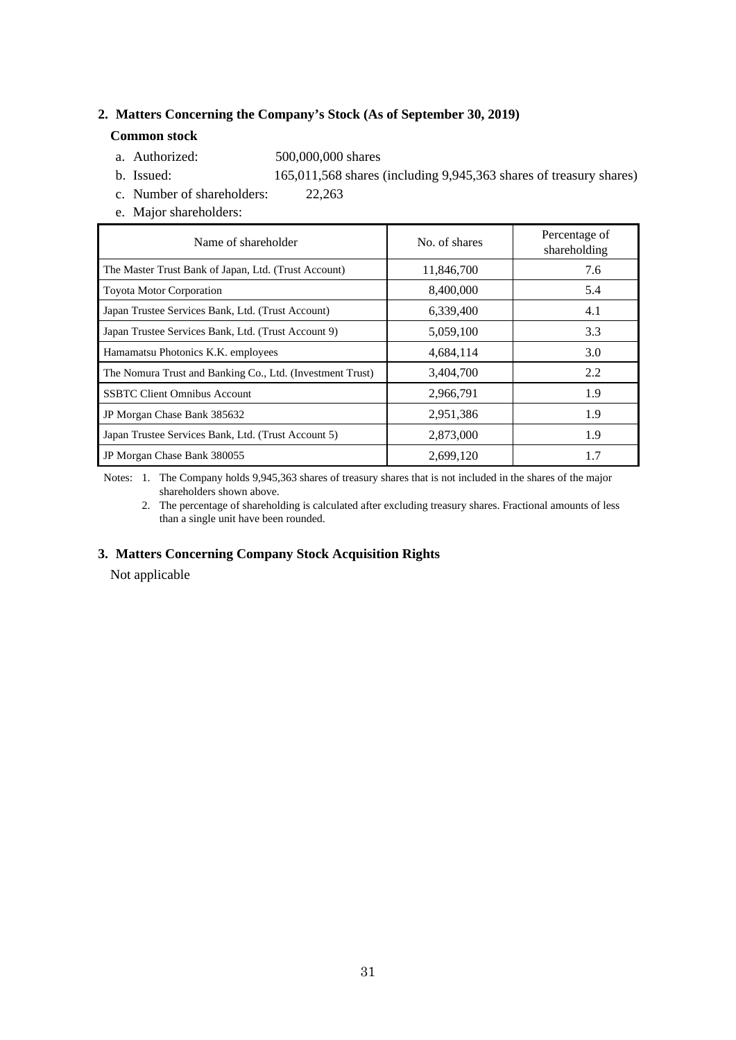### **2. Matters Concerning the Company's Stock (As of September 30, 2019)**

### **Common stock**

- a. Authorized: 500,000,000 shares
- b. Issued: 165,011,568 shares (including 9,945,363 shares of treasury shares)
- c. Number of shareholders: 22,263
- e. Major shareholders:

| Name of shareholder                                       | No. of shares | Percentage of<br>shareholding |
|-----------------------------------------------------------|---------------|-------------------------------|
| The Master Trust Bank of Japan, Ltd. (Trust Account)      | 11,846,700    | 7.6                           |
| <b>Toyota Motor Corporation</b>                           | 8,400,000     | 5.4                           |
| Japan Trustee Services Bank, Ltd. (Trust Account)         | 6,339,400     | 4.1                           |
| Japan Trustee Services Bank, Ltd. (Trust Account 9)       | 5,059,100     | 3.3                           |
| Hamamatsu Photonics K.K. employees                        | 4,684,114     | 3.0                           |
| The Nomura Trust and Banking Co., Ltd. (Investment Trust) | 3,404,700     | 2.2                           |
| <b>SSBTC Client Omnibus Account</b>                       | 2,966,791     | 1.9                           |
| JP Morgan Chase Bank 385632                               | 2,951,386     | 1.9                           |
| Japan Trustee Services Bank, Ltd. (Trust Account 5)       | 2,873,000     | 1.9                           |
| JP Morgan Chase Bank 380055                               | 2,699,120     | 1.7                           |

 Notes: 1. The Company holds 9,945,363 shares of treasury shares that is not included in the shares of the major shareholders shown above.

 2. The percentage of shareholding is calculated after excluding treasury shares. Fractional amounts of less than a single unit have been rounded.

### **3. Matters Concerning Company Stock Acquisition Rights**

Not applicable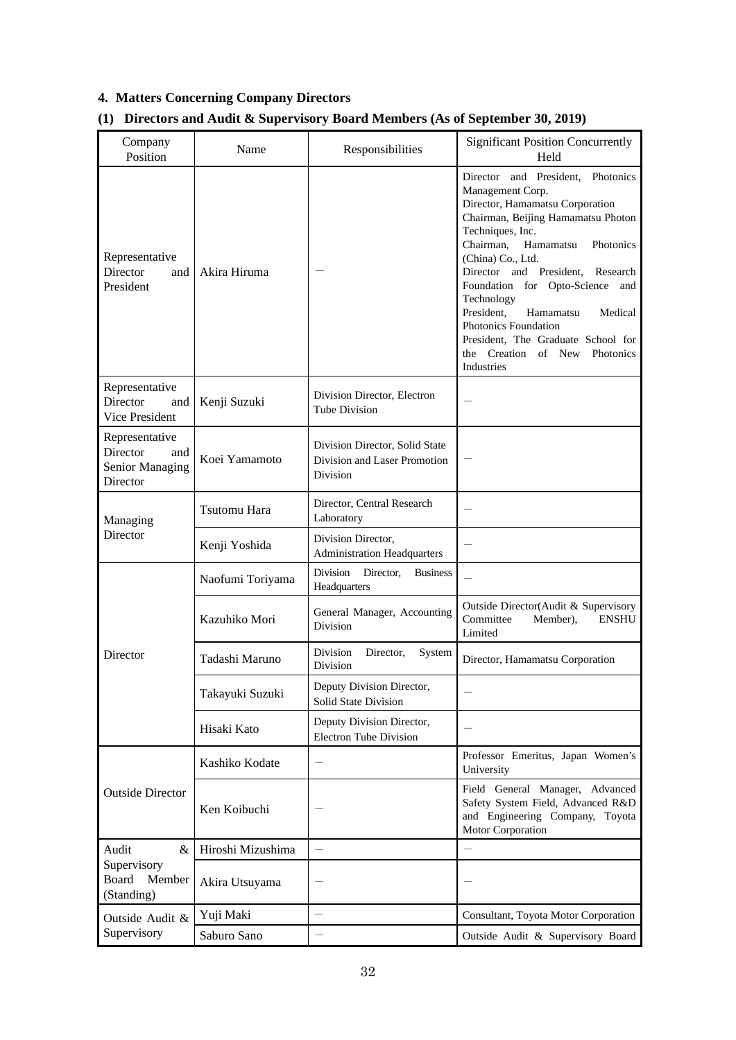# **4. Matters Concerning Company Directors**

# **(1) Directors and Audit & Supervisory Board Members (As of September 30, 2019)**

| Company<br>Position                                              | Name              | Responsibilities                                                           | <b>Significant Position Concurrently</b><br>Held                                                                                                                                                                                                                                                                                                                                                                                                                |
|------------------------------------------------------------------|-------------------|----------------------------------------------------------------------------|-----------------------------------------------------------------------------------------------------------------------------------------------------------------------------------------------------------------------------------------------------------------------------------------------------------------------------------------------------------------------------------------------------------------------------------------------------------------|
| Representative<br>Director<br>and<br>President                   | Akira Hiruma      |                                                                            | Director and President. Photonics<br>Management Corp.<br>Director, Hamamatsu Corporation<br>Chairman, Beijing Hamamatsu Photon<br>Techniques, Inc.<br>Chairman,<br>Hamamatsu<br>Photonics<br>(China) Co., Ltd.<br>Director and President,<br>Research<br>Foundation for Opto-Science<br>and<br>Technology<br>President,<br>Hamamatsu<br>Medical<br>Photonics Foundation<br>President, The Graduate School for<br>the Creation of New<br>Photonics<br>Industries |
| Representative<br>Director<br>and<br>Vice President              | Kenji Suzuki      | Division Director, Electron<br>Tube Division                               |                                                                                                                                                                                                                                                                                                                                                                                                                                                                 |
| Representative<br>Director<br>and<br>Senior Managing<br>Director | Koei Yamamoto     | Division Director, Solid State<br>Division and Laser Promotion<br>Division |                                                                                                                                                                                                                                                                                                                                                                                                                                                                 |
| Managing                                                         | Tsutomu Hara      | Director, Central Research<br>Laboratory                                   |                                                                                                                                                                                                                                                                                                                                                                                                                                                                 |
| Director                                                         | Kenji Yoshida     | Division Director,<br><b>Administration Headquarters</b>                   |                                                                                                                                                                                                                                                                                                                                                                                                                                                                 |
|                                                                  | Naofumi Toriyama  | Director,<br>Division<br><b>Business</b><br>Headquarters                   |                                                                                                                                                                                                                                                                                                                                                                                                                                                                 |
|                                                                  | Kazuhiko Mori     | General Manager, Accounting<br>Division                                    | Outside Director(Audit & Supervisory<br>Committee<br>Member),<br><b>ENSHU</b><br>Limited                                                                                                                                                                                                                                                                                                                                                                        |
| Director                                                         | Tadashi Maruno    | Division<br>Director,<br>System<br>Division                                | Director, Hamamatsu Corporation                                                                                                                                                                                                                                                                                                                                                                                                                                 |
|                                                                  | Takayuki Suzuki   | Deputy Division Director,<br>Solid State Division                          |                                                                                                                                                                                                                                                                                                                                                                                                                                                                 |
|                                                                  | Hisaki Kato       | Deputy Division Director,<br><b>Electron Tube Division</b>                 |                                                                                                                                                                                                                                                                                                                                                                                                                                                                 |
|                                                                  | Kashiko Kodate    |                                                                            | Professor Emeritus, Japan Women's<br>University                                                                                                                                                                                                                                                                                                                                                                                                                 |
| <b>Outside Director</b>                                          | Ken Koibuchi      |                                                                            | Field General Manager, Advanced<br>Safety System Field, Advanced R&D<br>and Engineering Company, Toyota<br>Motor Corporation                                                                                                                                                                                                                                                                                                                                    |
| Audit<br>&                                                       | Hiroshi Mizushima |                                                                            | $\equiv$                                                                                                                                                                                                                                                                                                                                                                                                                                                        |
| Supervisory<br>Board<br>Member<br>(Standing)                     | Akira Utsuyama    |                                                                            |                                                                                                                                                                                                                                                                                                                                                                                                                                                                 |
| Outside Audit &                                                  | Yuji Maki         |                                                                            | Consultant, Toyota Motor Corporation                                                                                                                                                                                                                                                                                                                                                                                                                            |
| Supervisory                                                      | Saburo Sano       |                                                                            | Outside Audit & Supervisory Board                                                                                                                                                                                                                                                                                                                                                                                                                               |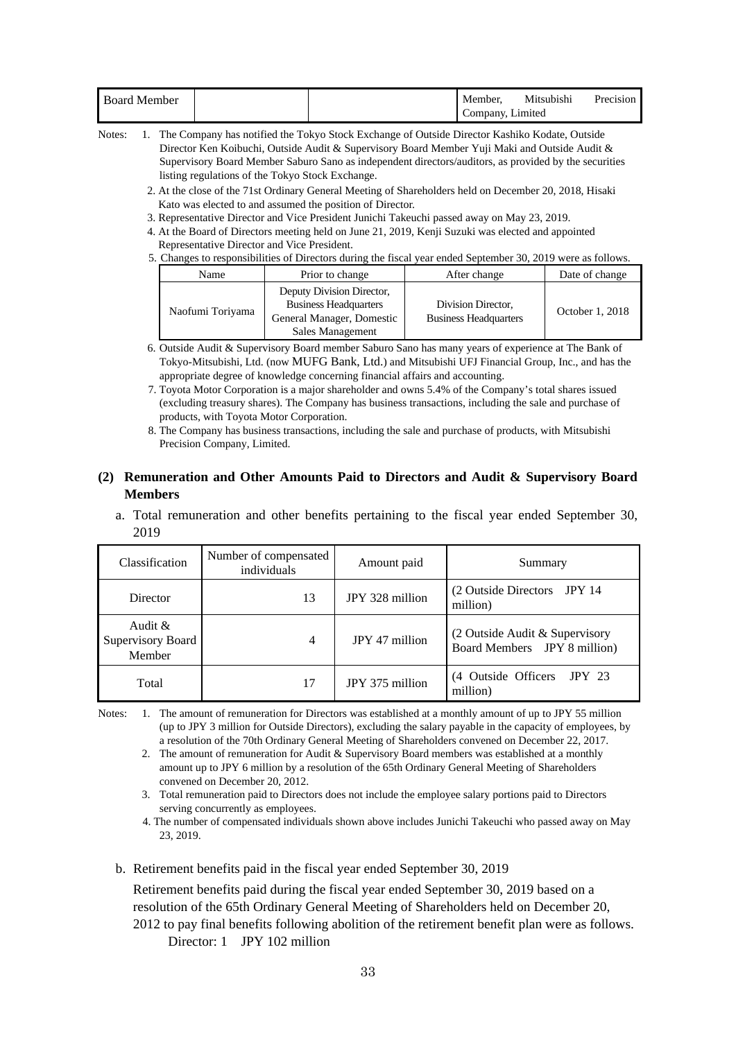| <b>Board Member</b> |  | Member.          | Mitsubishi | Precision |
|---------------------|--|------------------|------------|-----------|
|                     |  | Company, Limited |            |           |

Notes: 1. The Company has notified the Tokyo Stock Exchange of Outside Director Kashiko Kodate, Outside Director Ken Koibuchi, Outside Audit & Supervisory Board Member Yuji Maki and Outside Audit & Supervisory Board Member Saburo Sano as independent directors/auditors, as provided by the securities listing regulations of the Tokyo Stock Exchange.

- 2. At the close of the 71st Ordinary General Meeting of Shareholders held on December 20, 2018, Hisaki Kato was elected to and assumed the position of Director.
- 3. Representative Director and Vice President Junichi Takeuchi passed away on May 23, 2019.
- 4. At the Board of Directors meeting held on June 21, 2019, Kenji Suzuki was elected and appointed Representative Director and Vice President.
- 5. Changes to responsibilities of Directors during the fiscal year ended September 30, 2019 were as follows.

| Name             | Prior to change                                                                                            | After change                                       | Date of change  |
|------------------|------------------------------------------------------------------------------------------------------------|----------------------------------------------------|-----------------|
| Naofumi Toriyama | Deputy Division Director,<br><b>Business Headquarters</b><br>General Manager, Domestic<br>Sales Management | Division Director,<br><b>Business Headquarters</b> | October 1, 2018 |

- 6. Outside Audit & Supervisory Board member Saburo Sano has many years of experience at The Bank of Tokyo-Mitsubishi, Ltd. (now MUFG Bank, Ltd.) and Mitsubishi UFJ Financial Group, Inc., and has the appropriate degree of knowledge concerning financial affairs and accounting.
- 7. Toyota Motor Corporation is a major shareholder and owns 5.4% of the Company's total shares issued (excluding treasury shares). The Company has business transactions, including the sale and purchase of products, with Toyota Motor Corporation.
- 8. The Company has business transactions, including the sale and purchase of products, with Mitsubishi Precision Company, Limited.

### **(2) Remuneration and Other Amounts Paid to Directors and Audit & Supervisory Board Members**

a. Total remuneration and other benefits pertaining to the fiscal year ended September 30, 2019

| Classification                            | Number of compensated<br>individuals | Amount paid     | Summary                                                          |
|-------------------------------------------|--------------------------------------|-----------------|------------------------------------------------------------------|
| Director                                  | 13                                   | JPY 328 million | (2 Outside Directors JPY 14)<br>million)                         |
| Audit $\&$<br>Supervisory Board<br>Member | 4                                    | JPY 47 million  | $(2$ Outside Audit & Supervisory<br>Board Members JPY 8 million) |
| Total                                     | 17                                   | JPY 375 million | (4 Outside Officers JPY 23<br>million)                           |

Notes: 1. The amount of remuneration for Directors was established at a monthly amount of up to JPY 55 million (up to JPY 3 million for Outside Directors), excluding the salary payable in the capacity of employees, by a resolution of the 70th Ordinary General Meeting of Shareholders convened on December 22, 2017.

- 2. The amount of remuneration for Audit & Supervisory Board members was established at a monthly amount up to JPY 6 million by a resolution of the 65th Ordinary General Meeting of Shareholders convened on December 20, 2012.
- 3. Total remuneration paid to Directors does not include the employee salary portions paid to Directors serving concurrently as employees.
- 4. The number of compensated individuals shown above includes Junichi Takeuchi who passed away on May 23, 2019.
- b. Retirement benefits paid in the fiscal year ended September 30, 2019

Retirement benefits paid during the fiscal year ended September 30, 2019 based on a resolution of the 65th Ordinary General Meeting of Shareholders held on December 20, 2012 to pay final benefits following abolition of the retirement benefit plan were as follows. Director: 1 JPY 102 million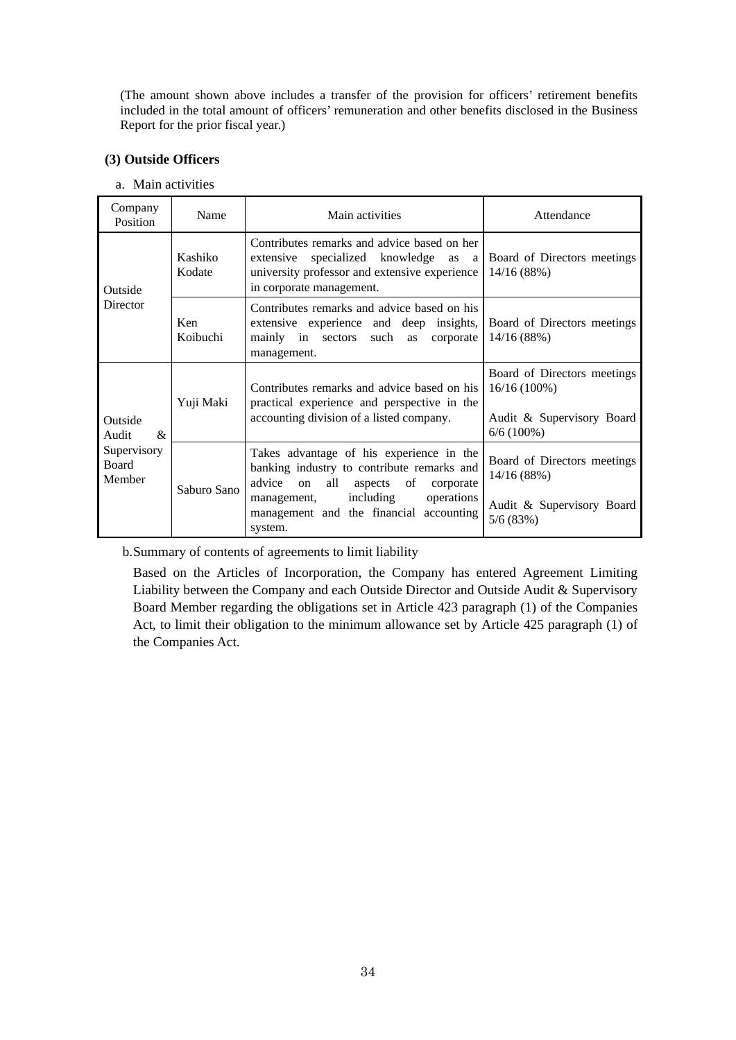(The amount shown above includes a transfer of the provision for officers' retirement benefits included in the total amount of officers' remuneration and other benefits disclosed in the Business Report for the prior fiscal year.)

### **(3) Outside Officers**

| a. Main activities |  |  |  |
|--------------------|--|--|--|
|--------------------|--|--|--|

| Company<br>Position                             | Name              | Main activities                                                                                                                                                                                                                          | Attendance                                                                                 |
|-------------------------------------------------|-------------------|------------------------------------------------------------------------------------------------------------------------------------------------------------------------------------------------------------------------------------------|--------------------------------------------------------------------------------------------|
| Outside                                         | Kashiko<br>Kodate | Contributes remarks and advice based on her<br>specialized knowledge as<br>extensive<br>a l<br>university professor and extensive experience<br>in corporate management.                                                                 | Board of Directors meetings<br>14/16(88%)                                                  |
| Director                                        | Ken<br>Koibuchi   | Contributes remarks and advice based on his<br>extensive experience and deep insights,<br>mainly in sectors such as<br>corporate<br>management.                                                                                          | Board of Directors meetings<br>14/16 (88%)                                                 |
| Outside<br>$\mathcal{R}_{\mathcal{L}}$<br>Audit | Yuji Maki         | Contributes remarks and advice based on his<br>practical experience and perspective in the<br>accounting division of a listed company.                                                                                                   | Board of Directors meetings<br>$16/16(100\%)$<br>Audit & Supervisory Board<br>$6/6(100\%)$ |
| Supervisory<br>Board<br>Member                  | Saburo Sano       | Takes advantage of his experience in the<br>banking industry to contribute remarks and<br>advice<br>all<br>aspects of<br><sub>on</sub><br>corporate<br>including<br>operations<br>management,<br>management and the financial accounting | Board of Directors meetings<br>14/16 (88%)<br>Audit & Supervisory Board                    |
|                                                 |                   | system.                                                                                                                                                                                                                                  | 5/6(83%)                                                                                   |

b. Summary of contents of agreements to limit liability

Based on the Articles of Incorporation, the Company has entered Agreement Limiting Liability between the Company and each Outside Director and Outside Audit & Supervisory Board Member regarding the obligations set in Article 423 paragraph (1) of the Companies Act, to limit their obligation to the minimum allowance set by Article 425 paragraph (1) of the Companies Act.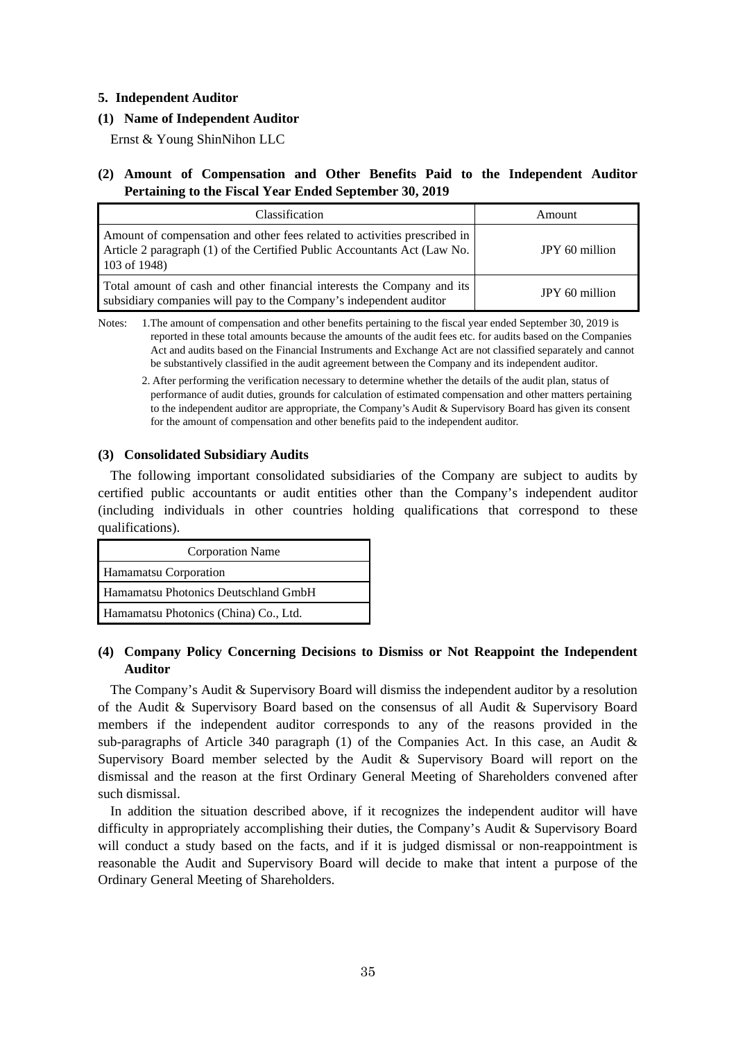### **5. Independent Auditor**

### **(1) Name of Independent Auditor**

Ernst & Young ShinNihon LLC

### **(2) Amount of Compensation and Other Benefits Paid to the Independent Auditor Pertaining to the Fiscal Year Ended September 30, 2019**

| Classification                                                                                                                                                          | Amount         |  |
|-------------------------------------------------------------------------------------------------------------------------------------------------------------------------|----------------|--|
| Amount of compensation and other fees related to activities prescribed in<br>Article 2 paragraph (1) of the Certified Public Accountants Act (Law No.<br>$103$ of 1948) | JPY 60 million |  |
| Total amount of cash and other financial interests the Company and its<br>subsidiary companies will pay to the Company's independent auditor                            | JPY 60 million |  |

Notes: 1.The amount of compensation and other benefits pertaining to the fiscal year ended September 30, 2019 is reported in these total amounts because the amounts of the audit fees etc. for audits based on the Companies Act and audits based on the Financial Instruments and Exchange Act are not classified separately and cannot be substantively classified in the audit agreement between the Company and its independent auditor.

 2. After performing the verification necessary to determine whether the details of the audit plan, status of performance of audit duties, grounds for calculation of estimated compensation and other matters pertaining to the independent auditor are appropriate, the Company's Audit & Supervisory Board has given its consent for the amount of compensation and other benefits paid to the independent auditor.

### **(3) Consolidated Subsidiary Audits**

The following important consolidated subsidiaries of the Company are subject to audits by certified public accountants or audit entities other than the Company's independent auditor (including individuals in other countries holding qualifications that correspond to these qualifications).

| <b>Corporation Name</b>               |  |  |
|---------------------------------------|--|--|
| Hamamatsu Corporation                 |  |  |
| Hamamatsu Photonics Deutschland GmbH  |  |  |
| Hamamatsu Photonics (China) Co., Ltd. |  |  |

### **(4) Company Policy Concerning Decisions to Dismiss or Not Reappoint the Independent Auditor**

The Company's Audit & Supervisory Board will dismiss the independent auditor by a resolution of the Audit & Supervisory Board based on the consensus of all Audit & Supervisory Board members if the independent auditor corresponds to any of the reasons provided in the sub-paragraphs of Article 340 paragraph  $(1)$  of the Companies Act. In this case, an Audit & Supervisory Board member selected by the Audit & Supervisory Board will report on the dismissal and the reason at the first Ordinary General Meeting of Shareholders convened after such dismissal.

In addition the situation described above, if it recognizes the independent auditor will have difficulty in appropriately accomplishing their duties, the Company's Audit & Supervisory Board will conduct a study based on the facts, and if it is judged dismissal or non-reappointment is reasonable the Audit and Supervisory Board will decide to make that intent a purpose of the Ordinary General Meeting of Shareholders.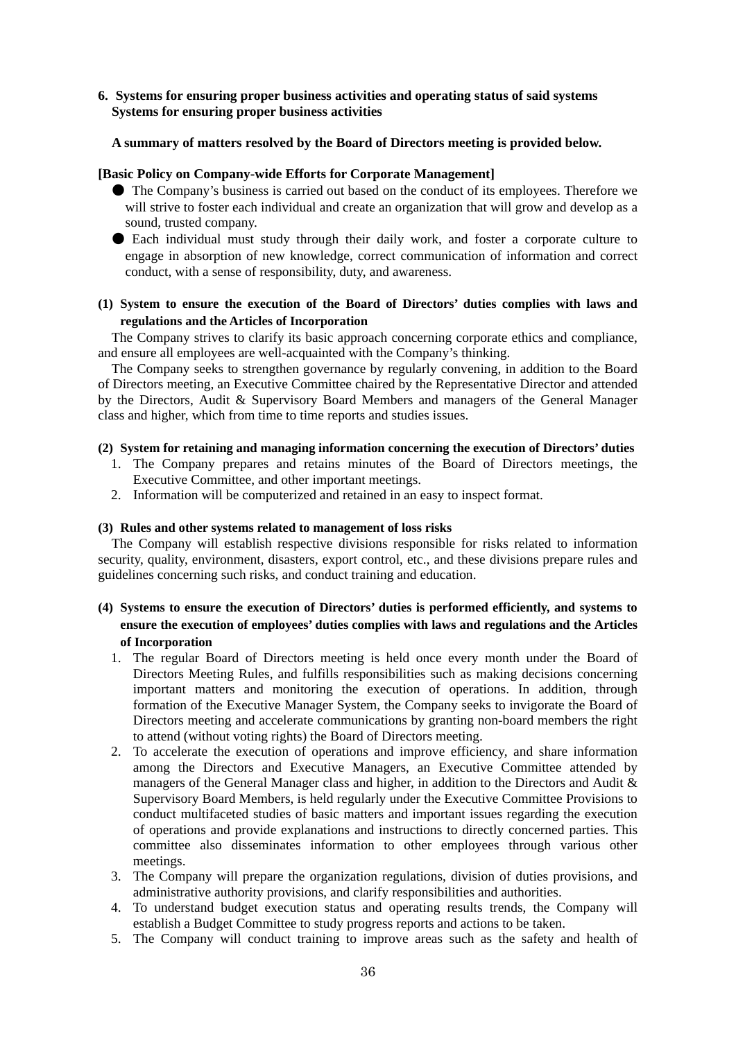### **6. Systems for ensuring proper business activities and operating status of said systems Systems for ensuring proper business activities**

### **A summary of matters resolved by the Board of Directors meeting is provided below.**

### **[Basic Policy on Company-wide Efforts for Corporate Management]**

- The Company's business is carried out based on the conduct of its employees. Therefore we will strive to foster each individual and create an organization that will grow and develop as a sound, trusted company.
- Each individual must study through their daily work, and foster a corporate culture to engage in absorption of new knowledge, correct communication of information and correct conduct, with a sense of responsibility, duty, and awareness.

### **(1) System to ensure the execution of the Board of Directors' duties complies with laws and regulations and the Articles of Incorporation**

The Company strives to clarify its basic approach concerning corporate ethics and compliance, and ensure all employees are well-acquainted with the Company's thinking.

The Company seeks to strengthen governance by regularly convening, in addition to the Board of Directors meeting, an Executive Committee chaired by the Representative Director and attended by the Directors, Audit & Supervisory Board Members and managers of the General Manager class and higher, which from time to time reports and studies issues.

### **(2) System for retaining and managing information concerning the execution of Directors' duties**

- 1. The Company prepares and retains minutes of the Board of Directors meetings, the Executive Committee, and other important meetings.
- 2. Information will be computerized and retained in an easy to inspect format.

#### **(3) Rules and other systems related to management of loss risks**

The Company will establish respective divisions responsible for risks related to information security, quality, environment, disasters, export control, etc., and these divisions prepare rules and guidelines concerning such risks, and conduct training and education.

### **(4) Systems to ensure the execution of Directors' duties is performed efficiently, and systems to ensure the execution of employees' duties complies with laws and regulations and the Articles of Incorporation**

- 1. The regular Board of Directors meeting is held once every month under the Board of Directors Meeting Rules, and fulfills responsibilities such as making decisions concerning important matters and monitoring the execution of operations. In addition, through formation of the Executive Manager System, the Company seeks to invigorate the Board of Directors meeting and accelerate communications by granting non-board members the right to attend (without voting rights) the Board of Directors meeting.
- 2. To accelerate the execution of operations and improve efficiency, and share information among the Directors and Executive Managers, an Executive Committee attended by managers of the General Manager class and higher, in addition to the Directors and Audit & Supervisory Board Members, is held regularly under the Executive Committee Provisions to conduct multifaceted studies of basic matters and important issues regarding the execution of operations and provide explanations and instructions to directly concerned parties. This committee also disseminates information to other employees through various other meetings.
- 3. The Company will prepare the organization regulations, division of duties provisions, and administrative authority provisions, and clarify responsibilities and authorities.
- 4. To understand budget execution status and operating results trends, the Company will establish a Budget Committee to study progress reports and actions to be taken.
- 5. The Company will conduct training to improve areas such as the safety and health of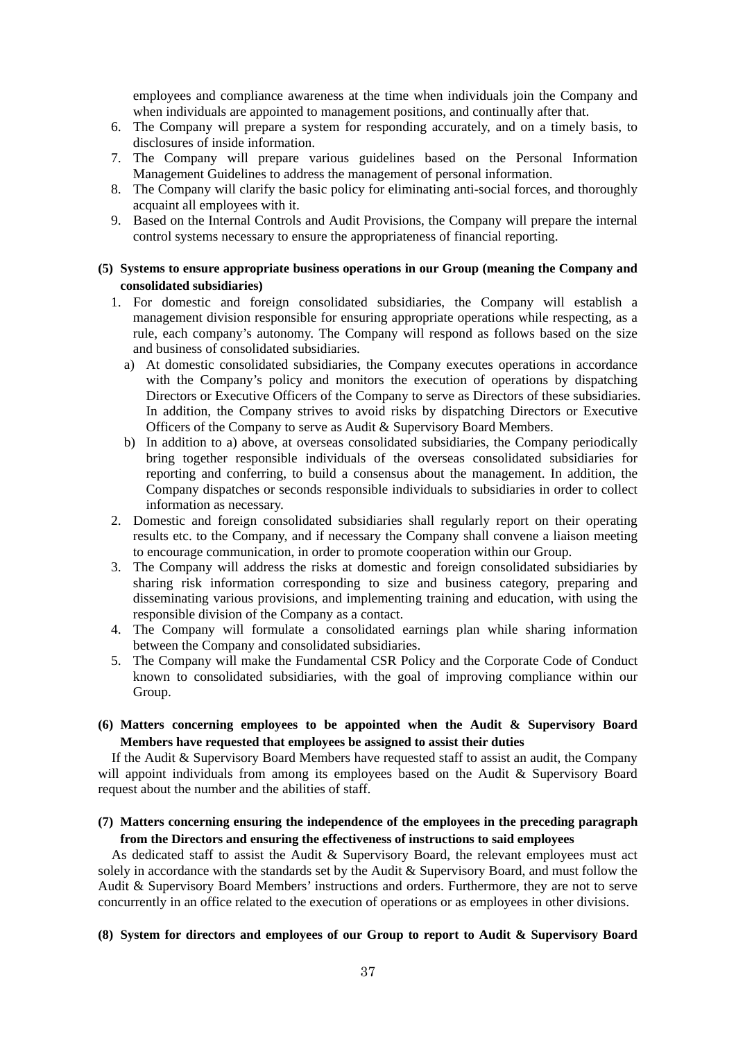employees and compliance awareness at the time when individuals join the Company and when individuals are appointed to management positions, and continually after that.

- 6. The Company will prepare a system for responding accurately, and on a timely basis, to disclosures of inside information.
- 7. The Company will prepare various guidelines based on the Personal Information Management Guidelines to address the management of personal information.
- 8. The Company will clarify the basic policy for eliminating anti-social forces, and thoroughly acquaint all employees with it.
- 9. Based on the Internal Controls and Audit Provisions, the Company will prepare the internal control systems necessary to ensure the appropriateness of financial reporting.

### **(5) Systems to ensure appropriate business operations in our Group (meaning the Company and consolidated subsidiaries)**

- 1. For domestic and foreign consolidated subsidiaries, the Company will establish a management division responsible for ensuring appropriate operations while respecting, as a rule, each company's autonomy. The Company will respond as follows based on the size and business of consolidated subsidiaries.
	- a) At domestic consolidated subsidiaries, the Company executes operations in accordance with the Company's policy and monitors the execution of operations by dispatching Directors or Executive Officers of the Company to serve as Directors of these subsidiaries. In addition, the Company strives to avoid risks by dispatching Directors or Executive Officers of the Company to serve as Audit & Supervisory Board Members.
	- b) In addition to a) above, at overseas consolidated subsidiaries, the Company periodically bring together responsible individuals of the overseas consolidated subsidiaries for reporting and conferring, to build a consensus about the management. In addition, the Company dispatches or seconds responsible individuals to subsidiaries in order to collect information as necessary.
- 2. Domestic and foreign consolidated subsidiaries shall regularly report on their operating results etc. to the Company, and if necessary the Company shall convene a liaison meeting to encourage communication, in order to promote cooperation within our Group.
- 3. The Company will address the risks at domestic and foreign consolidated subsidiaries by sharing risk information corresponding to size and business category, preparing and disseminating various provisions, and implementing training and education, with using the responsible division of the Company as a contact.
- 4. The Company will formulate a consolidated earnings plan while sharing information between the Company and consolidated subsidiaries.
- 5. The Company will make the Fundamental CSR Policy and the Corporate Code of Conduct known to consolidated subsidiaries, with the goal of improving compliance within our Group.
- **(6) Matters concerning employees to be appointed when the Audit & Supervisory Board Members have requested that employees be assigned to assist their duties**

If the Audit & Supervisory Board Members have requested staff to assist an audit, the Company will appoint individuals from among its employees based on the Audit & Supervisory Board request about the number and the abilities of staff.

### **(7) Matters concerning ensuring the independence of the employees in the preceding paragraph from the Directors and ensuring the effectiveness of instructions to said employees**

As dedicated staff to assist the Audit & Supervisory Board, the relevant employees must act solely in accordance with the standards set by the Audit & Supervisory Board, and must follow the Audit & Supervisory Board Members' instructions and orders. Furthermore, they are not to serve concurrently in an office related to the execution of operations or as employees in other divisions.

#### **(8) System for directors and employees of our Group to report to Audit & Supervisory Board**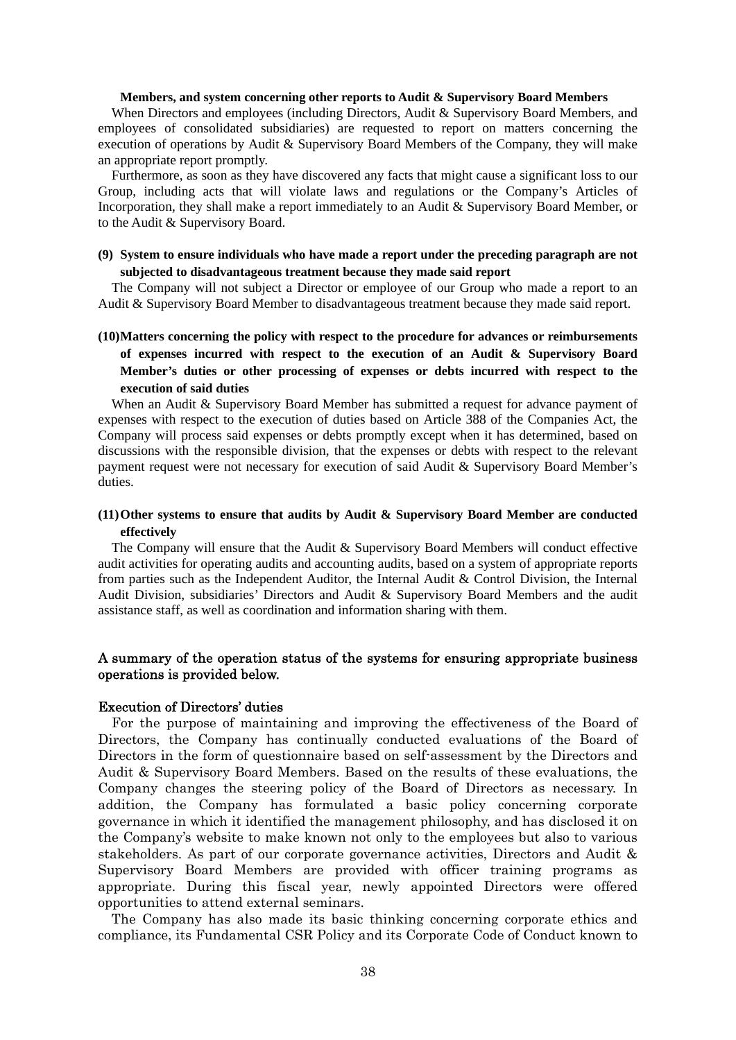#### **Members, and system concerning other reports to Audit & Supervisory Board Members**

When Directors and employees (including Directors, Audit & Supervisory Board Members, and employees of consolidated subsidiaries) are requested to report on matters concerning the execution of operations by Audit & Supervisory Board Members of the Company, they will make an appropriate report promptly.

Furthermore, as soon as they have discovered any facts that might cause a significant loss to our Group, including acts that will violate laws and regulations or the Company's Articles of Incorporation, they shall make a report immediately to an Audit & Supervisory Board Member, or to the Audit & Supervisory Board.

### **(9) System to ensure individuals who have made a report under the preceding paragraph are not subjected to disadvantageous treatment because they made said report**

The Company will not subject a Director or employee of our Group who made a report to an Audit & Supervisory Board Member to disadvantageous treatment because they made said report.

### **(10) Matters concerning the policy with respect to the procedure for advances or reimbursements of expenses incurred with respect to the execution of an Audit & Supervisory Board Member's duties or other processing of expenses or debts incurred with respect to the execution of said duties**

When an Audit & Supervisory Board Member has submitted a request for advance payment of expenses with respect to the execution of duties based on Article 388 of the Companies Act, the Company will process said expenses or debts promptly except when it has determined, based on discussions with the responsible division, that the expenses or debts with respect to the relevant payment request were not necessary for execution of said Audit & Supervisory Board Member's duties.

### **(11) Other systems to ensure that audits by Audit & Supervisory Board Member are conducted effectively**

The Company will ensure that the Audit & Supervisory Board Members will conduct effective audit activities for operating audits and accounting audits, based on a system of appropriate reports from parties such as the Independent Auditor, the Internal Audit & Control Division, the Internal Audit Division, subsidiaries' Directors and Audit & Supervisory Board Members and the audit assistance staff, as well as coordination and information sharing with them.

### A summary of the operation status of the systems for ensuring appropriate business operations is provided below.

#### Execution of Directors' duties

For the purpose of maintaining and improving the effectiveness of the Board of Directors, the Company has continually conducted evaluations of the Board of Directors in the form of questionnaire based on self-assessment by the Directors and Audit & Supervisory Board Members. Based on the results of these evaluations, the Company changes the steering policy of the Board of Directors as necessary. In addition, the Company has formulated a basic policy concerning corporate governance in which it identified the management philosophy, and has disclosed it on the Company's website to make known not only to the employees but also to various stakeholders. As part of our corporate governance activities, Directors and Audit & Supervisory Board Members are provided with officer training programs as appropriate. During this fiscal year, newly appointed Directors were offered opportunities to attend external seminars.

The Company has also made its basic thinking concerning corporate ethics and compliance, its Fundamental CSR Policy and its Corporate Code of Conduct known to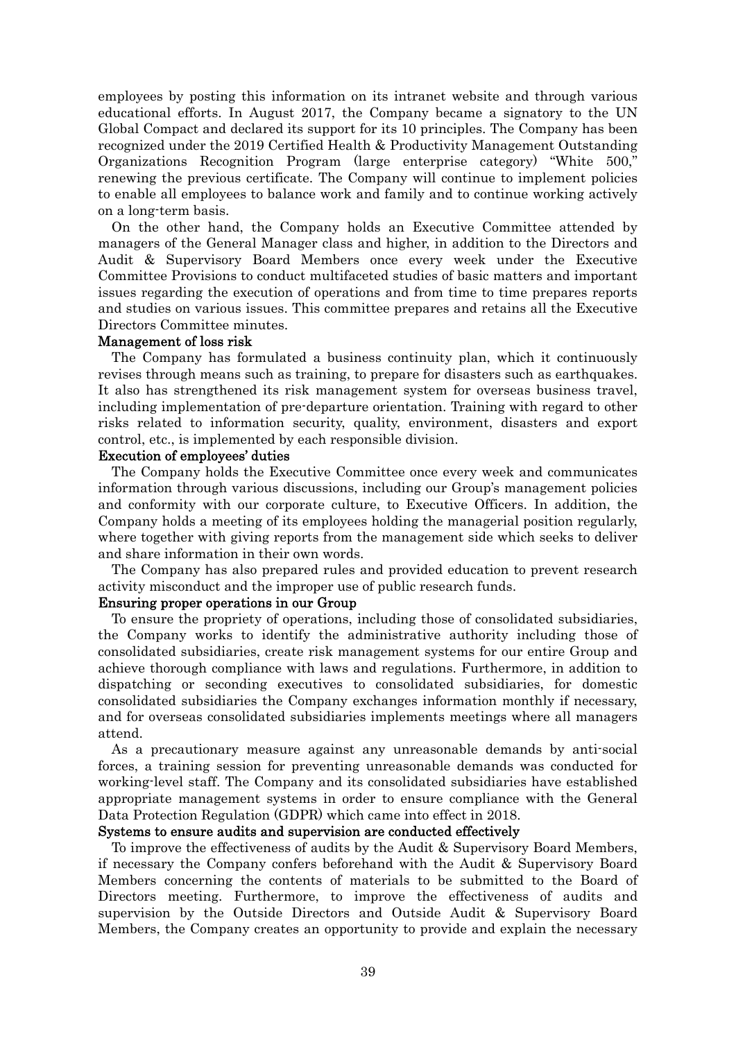employees by posting this information on its intranet website and through various educational efforts. In August 2017, the Company became a signatory to the UN Global Compact and declared its support for its 10 principles. The Company has been recognized under the 2019 Certified Health & Productivity Management Outstanding Organizations Recognition Program (large enterprise category) "White 500," renewing the previous certificate. The Company will continue to implement policies to enable all employees to balance work and family and to continue working actively on a long-term basis.

On the other hand, the Company holds an Executive Committee attended by managers of the General Manager class and higher, in addition to the Directors and Audit & Supervisory Board Members once every week under the Executive Committee Provisions to conduct multifaceted studies of basic matters and important issues regarding the execution of operations and from time to time prepares reports and studies on various issues. This committee prepares and retains all the Executive Directors Committee minutes.

#### Management of loss risk

The Company has formulated a business continuity plan, which it continuously revises through means such as training, to prepare for disasters such as earthquakes. It also has strengthened its risk management system for overseas business travel, including implementation of pre-departure orientation. Training with regard to other risks related to information security, quality, environment, disasters and export control, etc., is implemented by each responsible division.

#### Execution of employees' duties

The Company holds the Executive Committee once every week and communicates information through various discussions, including our Group's management policies and conformity with our corporate culture, to Executive Officers. In addition, the Company holds a meeting of its employees holding the managerial position regularly, where together with giving reports from the management side which seeks to deliver and share information in their own words.

The Company has also prepared rules and provided education to prevent research activity misconduct and the improper use of public research funds.

### Ensuring proper operations in our Group

To ensure the propriety of operations, including those of consolidated subsidiaries, the Company works to identify the administrative authority including those of consolidated subsidiaries, create risk management systems for our entire Group and achieve thorough compliance with laws and regulations. Furthermore, in addition to dispatching or seconding executives to consolidated subsidiaries, for domestic consolidated subsidiaries the Company exchanges information monthly if necessary, and for overseas consolidated subsidiaries implements meetings where all managers attend.

As a precautionary measure against any unreasonable demands by anti-social forces, a training session for preventing unreasonable demands was conducted for working-level staff. The Company and its consolidated subsidiaries have established appropriate management systems in order to ensure compliance with the General Data Protection Regulation (GDPR) which came into effect in 2018.

#### Systems to ensure audits and supervision are conducted effectively

To improve the effectiveness of audits by the Audit & Supervisory Board Members, if necessary the Company confers beforehand with the Audit & Supervisory Board Members concerning the contents of materials to be submitted to the Board of Directors meeting. Furthermore, to improve the effectiveness of audits and supervision by the Outside Directors and Outside Audit & Supervisory Board Members, the Company creates an opportunity to provide and explain the necessary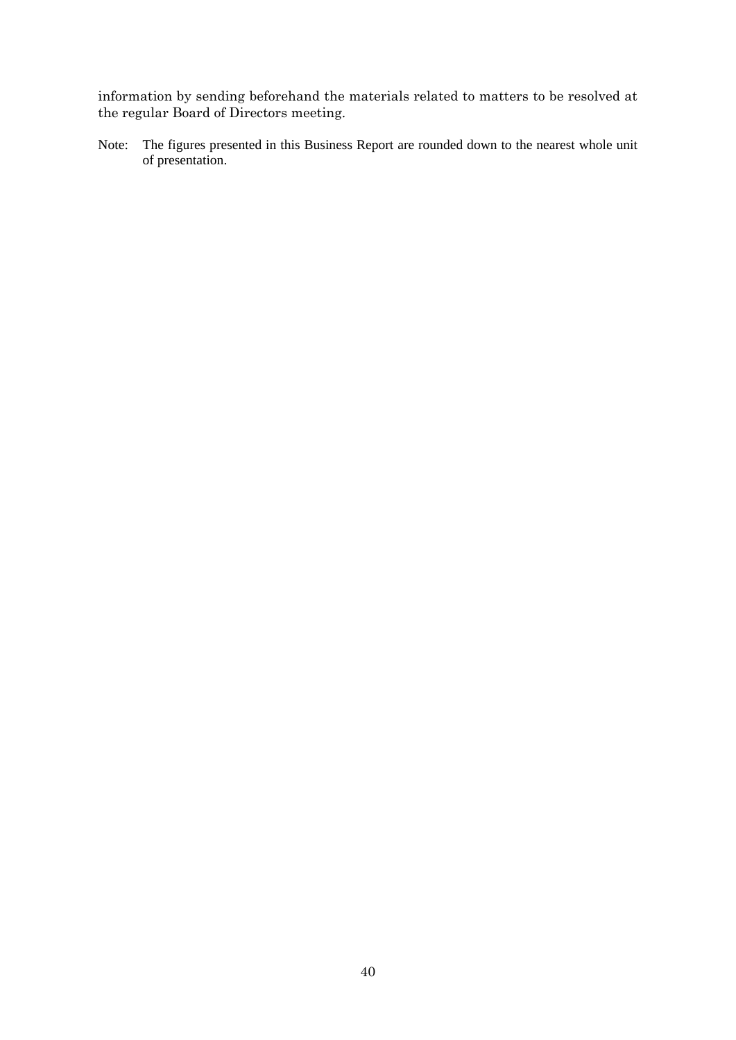information by sending beforehand the materials related to matters to be resolved at the regular Board of Directors meeting.

Note: The figures presented in this Business Report are rounded down to the nearest whole unit of presentation.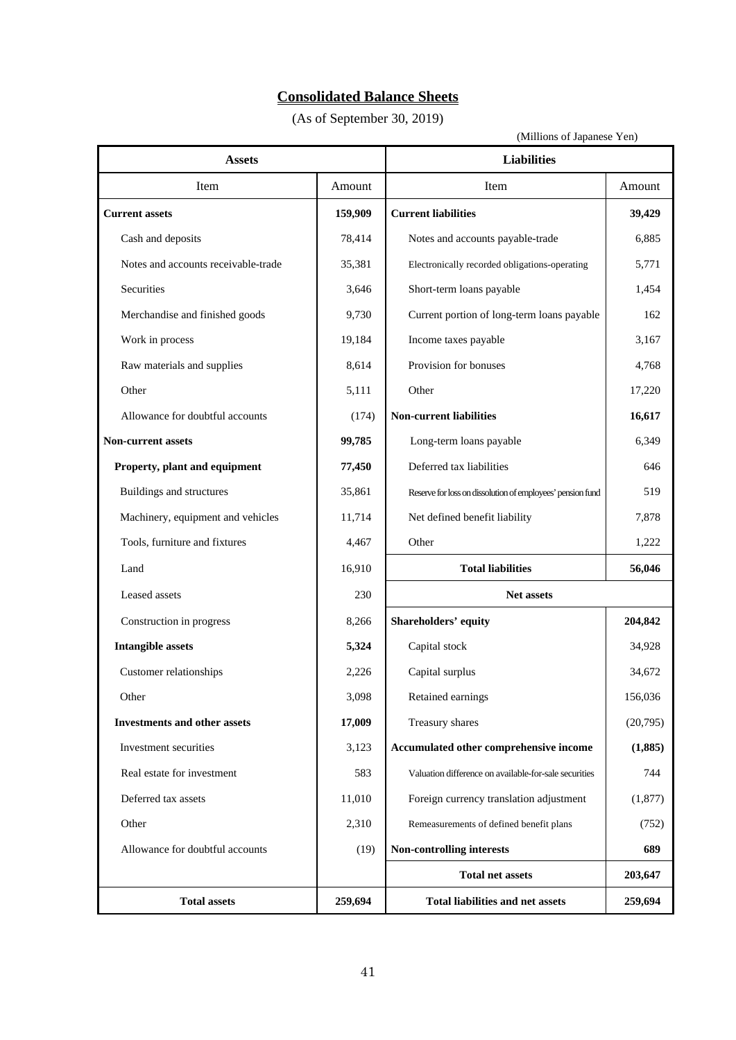# **Consolidated Balance Sheets**

(As of September 30, 2019)

(Millions of Japanese Yen)

| <b>Assets</b>                       |         | <b>Liabilities</b>                                         |          |  |
|-------------------------------------|---------|------------------------------------------------------------|----------|--|
| Item                                | Amount  | Item                                                       | Amount   |  |
| <b>Current assets</b>               | 159,909 | <b>Current liabilities</b>                                 | 39,429   |  |
| Cash and deposits                   | 78,414  | Notes and accounts payable-trade                           | 6,885    |  |
| Notes and accounts receivable-trade | 35,381  | Electronically recorded obligations-operating              | 5,771    |  |
| Securities                          | 3,646   | Short-term loans payable                                   | 1,454    |  |
| Merchandise and finished goods      | 9,730   | Current portion of long-term loans payable                 | 162      |  |
| Work in process                     | 19,184  | Income taxes payable                                       | 3,167    |  |
| Raw materials and supplies          | 8,614   | Provision for bonuses                                      | 4,768    |  |
| Other                               | 5,111   | Other                                                      | 17,220   |  |
| Allowance for doubtful accounts     | (174)   | <b>Non-current liabilities</b>                             | 16,617   |  |
| <b>Non-current assets</b>           | 99,785  | Long-term loans payable                                    | 6,349    |  |
| Property, plant and equipment       | 77,450  | Deferred tax liabilities                                   | 646      |  |
| Buildings and structures            | 35,861  | Reserve for loss on dissolution of employees' pension fund | 519      |  |
| Machinery, equipment and vehicles   | 11,714  | Net defined benefit liability                              | 7,878    |  |
| Tools, furniture and fixtures       | 4,467   | Other                                                      | 1,222    |  |
| Land                                | 16,910  | <b>Total liabilities</b>                                   | 56,046   |  |
| Leased assets                       | 230     | Net assets                                                 |          |  |
| Construction in progress            | 8,266   | Shareholders' equity                                       | 204,842  |  |
| <b>Intangible assets</b>            | 5,324   | Capital stock                                              | 34,928   |  |
| Customer relationships              | 2,226   | Capital surplus                                            | 34,672   |  |
| Other                               | 3,098   | Retained earnings                                          | 156,036  |  |
| <b>Investments and other assets</b> | 17,009  | Treasury shares                                            | (20,795) |  |
| Investment securities               | 3,123   | Accumulated other comprehensive income                     | (1,885)  |  |
| Real estate for investment          | 583     | Valuation difference on available-for-sale securities      | 744      |  |
| Deferred tax assets                 | 11,010  | Foreign currency translation adjustment                    | (1,877)  |  |
| Other                               | 2,310   | Remeasurements of defined benefit plans                    | (752)    |  |
| Allowance for doubtful accounts     | (19)    | 689<br>Non-controlling interests                           |          |  |
|                                     |         | <b>Total net assets</b>                                    | 203,647  |  |
| <b>Total assets</b>                 | 259,694 | <b>Total liabilities and net assets</b>                    | 259,694  |  |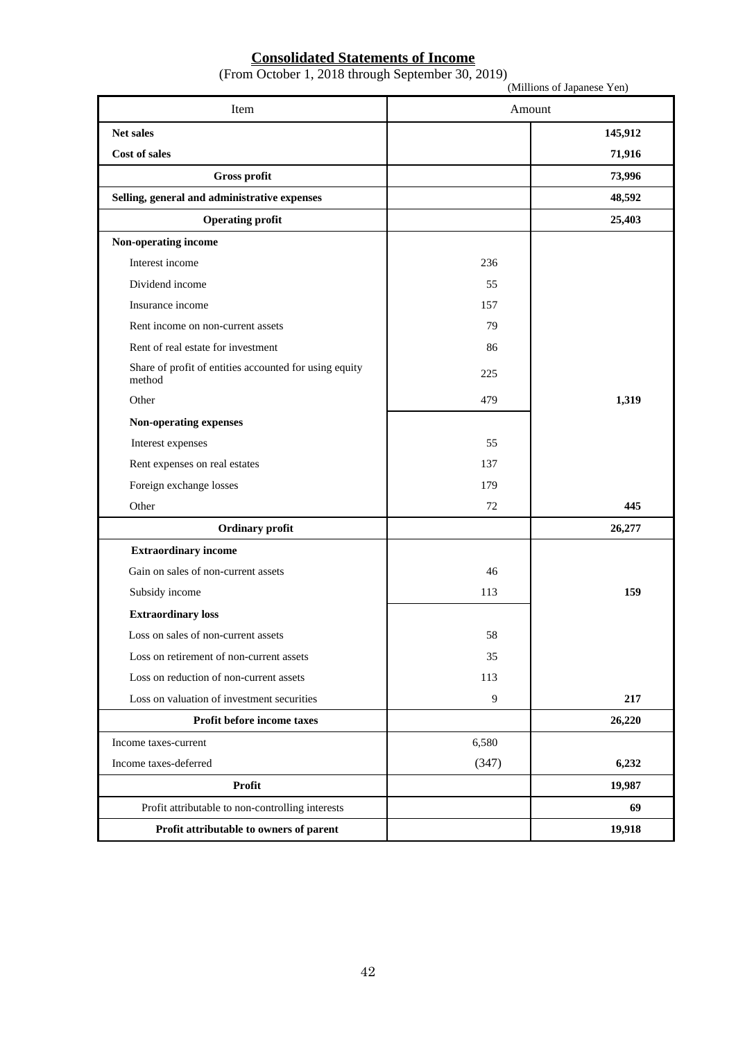# **Consolidated Statements of Income**

|  |  | (From October 1, 2018 through September 30, 2019) |  |
|--|--|---------------------------------------------------|--|
|  |  |                                                   |  |

| Item                                                             | Amount |         |
|------------------------------------------------------------------|--------|---------|
| Net sales                                                        |        | 145,912 |
| <b>Cost of sales</b>                                             |        | 71,916  |
| Gross profit                                                     |        | 73,996  |
| Selling, general and administrative expenses                     |        | 48,592  |
| <b>Operating profit</b>                                          |        | 25,403  |
| Non-operating income                                             |        |         |
| Interest income                                                  | 236    |         |
| Dividend income                                                  | 55     |         |
| Insurance income                                                 | 157    |         |
| Rent income on non-current assets                                | 79     |         |
| Rent of real estate for investment                               | 86     |         |
| Share of profit of entities accounted for using equity<br>method | 225    |         |
| Other                                                            | 479    | 1,319   |
| Non-operating expenses                                           |        |         |
| Interest expenses                                                | 55     |         |
| Rent expenses on real estates                                    | 137    |         |
| Foreign exchange losses                                          | 179    |         |
| Other                                                            | 72     | 445     |
| <b>Ordinary profit</b>                                           |        | 26,277  |
| <b>Extraordinary income</b>                                      |        |         |
| Gain on sales of non-current assets                              | 46     |         |
| Subsidy income                                                   | 113    | 159     |
| <b>Extraordinary loss</b>                                        |        |         |
| Loss on sales of non-current assets                              | 58     |         |
| Loss on retirement of non-current assets                         | 35     |         |
| Loss on reduction of non-current assets                          | 113    |         |
| Loss on valuation of investment securities                       | 9      | 217     |
| Profit before income taxes                                       |        | 26,220  |
| Income taxes-current                                             | 6,580  |         |
| Income taxes-deferred                                            | (347)  | 6,232   |
| Profit                                                           |        | 19,987  |
| Profit attributable to non-controlling interests                 |        | 69      |
| Profit attributable to owners of parent                          |        | 19,918  |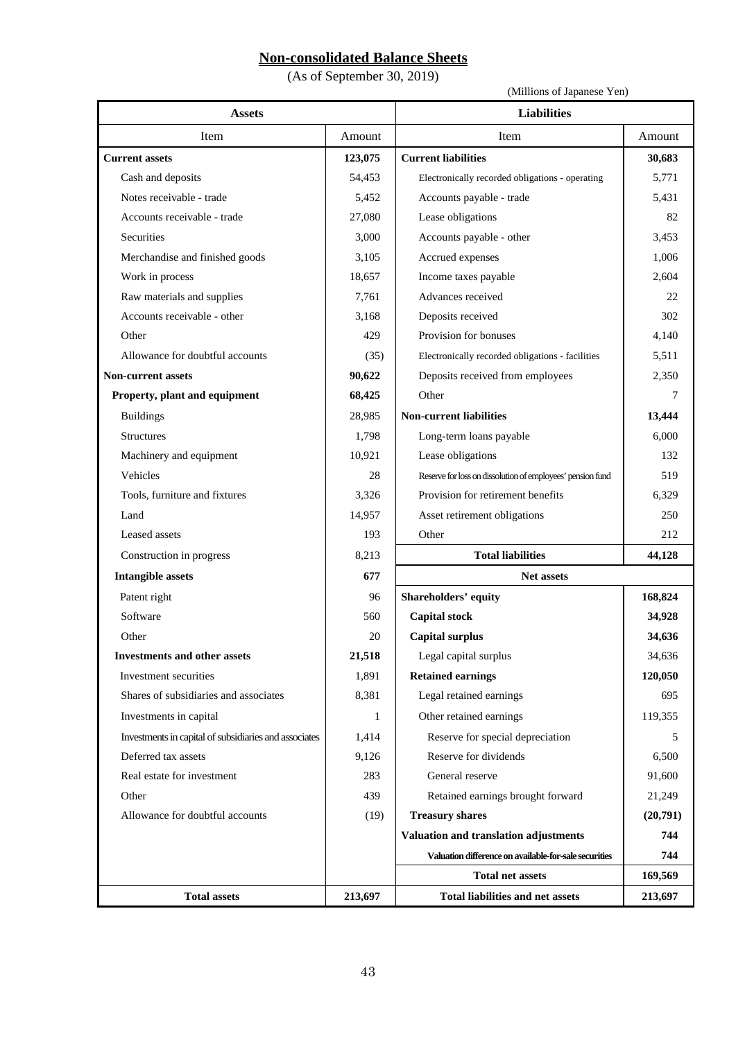# **Non-consolidated Balance Sheets**

(As of September 30, 2019)

(Millions of Japanese Yen)

| <b>Assets</b>                                         |              | <b>Liabilities</b>                                         |          |  |
|-------------------------------------------------------|--------------|------------------------------------------------------------|----------|--|
| <b>Item</b>                                           | Amount       | Item<br>Amount                                             |          |  |
| <b>Current assets</b>                                 | 123,075      | <b>Current liabilities</b>                                 | 30,683   |  |
| Cash and deposits                                     | 54,453       | Electronically recorded obligations - operating            | 5,771    |  |
| Notes receivable - trade                              | 5,452        | Accounts payable - trade                                   | 5,431    |  |
| Accounts receivable - trade                           | 27,080       | Lease obligations                                          | 82       |  |
| Securities                                            | 3,000        | Accounts payable - other                                   | 3,453    |  |
| Merchandise and finished goods                        | 3,105        | Accrued expenses                                           | 1,006    |  |
| Work in process                                       | 18,657       | Income taxes payable                                       | 2,604    |  |
| Raw materials and supplies                            | 7,761        | Advances received                                          | 22       |  |
| Accounts receivable - other                           | 3,168        | Deposits received                                          | 302      |  |
| Other                                                 | 429          | Provision for bonuses                                      | 4,140    |  |
| Allowance for doubtful accounts                       | (35)         | Electronically recorded obligations - facilities           | 5,511    |  |
| <b>Non-current assets</b>                             | 90,622       | Deposits received from employees                           | 2,350    |  |
| Property, plant and equipment                         | 68,425       | Other                                                      | 7        |  |
| <b>Buildings</b>                                      | 28,985       | <b>Non-current liabilities</b>                             | 13,444   |  |
| Structures                                            | 1,798        | Long-term loans payable                                    | 6,000    |  |
| Machinery and equipment                               | 10,921       | Lease obligations                                          | 132      |  |
| Vehicles                                              | 28           | Reserve for loss on dissolution of employees' pension fund | 519      |  |
| Tools, furniture and fixtures                         | 3,326        | Provision for retirement benefits                          | 6,329    |  |
| Land                                                  | 14,957       | Asset retirement obligations                               | 250      |  |
| Leased assets                                         | 193          | Other                                                      | 212      |  |
| Construction in progress                              | 8,213        | <b>Total liabilities</b><br>44,128                         |          |  |
| <b>Intangible assets</b>                              | 677          | Net assets                                                 |          |  |
| Patent right                                          | 96           | Shareholders' equity                                       | 168,824  |  |
| Software                                              | 560          | <b>Capital stock</b>                                       | 34,928   |  |
| Other                                                 | 20           | <b>Capital surplus</b>                                     | 34,636   |  |
| <b>Investments and other assets</b>                   | 21,518       | Legal capital surplus                                      | 34,636   |  |
| Investment securities                                 | 1,891        | <b>Retained earnings</b>                                   | 120,050  |  |
| Shares of subsidiaries and associates                 | 8,381        | Legal retained earnings                                    | 695      |  |
| Investments in capital                                | $\mathbf{1}$ | Other retained earnings                                    | 119,355  |  |
| Investments in capital of subsidiaries and associates | 1,414        | Reserve for special depreciation                           | 5        |  |
| Deferred tax assets                                   | 9,126        | Reserve for dividends                                      | 6,500    |  |
| Real estate for investment                            | 283          | General reserve                                            | 91,600   |  |
| Other                                                 | 439          | Retained earnings brought forward                          | 21,249   |  |
| Allowance for doubtful accounts                       | (19)         | <b>Treasury shares</b>                                     | (20,791) |  |
|                                                       |              | Valuation and translation adjustments<br>744               |          |  |
|                                                       |              | Valuation difference on available-for-sale securities      | 744      |  |
|                                                       |              | <b>Total net assets</b>                                    | 169,569  |  |
| <b>Total assets</b>                                   | 213,697      | Total liabilities and net assets                           | 213,697  |  |